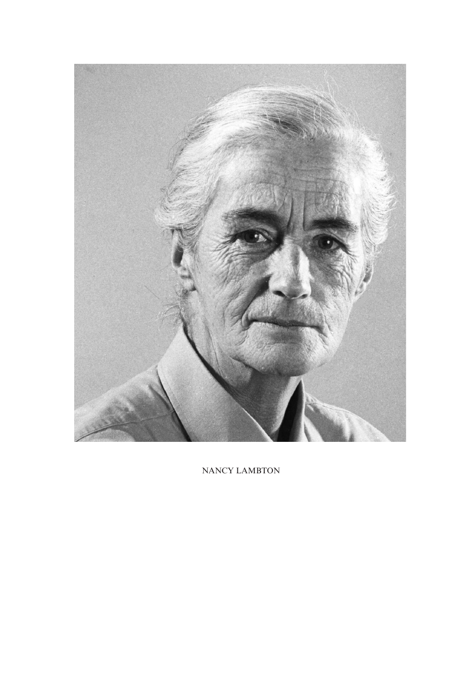

NANCY LAMBTON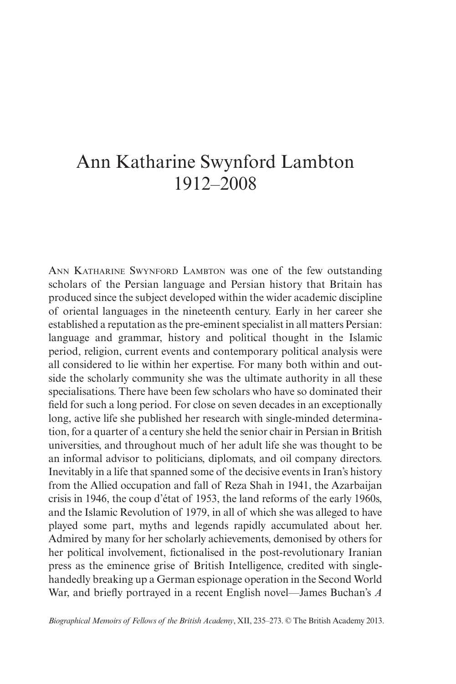## Ann Katharine Swynford Lambton 1912–2008

ANN KATHARINE SWYNFORD LAMBTON was one of the few outstanding scholars of the Persian language and Persian history that Britain has produced since the subject developed within the wider academic discipline of oriental languages in the nineteenth century. Early in her career she established a reputation as the pre-eminent specialist in all matters Persian: language and grammar, history and political thought in the Islamic period, religion, current events and contemporary political analysis were all considered to lie within her expertise. For many both within and outside the scholarly community she was the ultimate authority in all these specialisations. There have been few scholars who have so dominated their field for such a long period. For close on seven decades in an exceptionally long, active life she published her research with single-minded determination, for a quarter of a century she held the senior chair in Persian in British universities, and throughout much of her adult life she was thought to be an informal advisor to politicians, diplomats, and oil company directors. Inevitably in a life that spanned some of the decisive events in Iran's history from the Allied occupation and fall of Reza Shah in 1941, the Azarbaijan crisis in 1946, the coup d'état of 1953, the land reforms of the early 1960s, and the Islamic Revolution of 1979, in all of which she was alleged to have played some part, myths and legends rapidly accumulated about her. Admired by many for her scholarly achievements, demonised by others for her political involvement, fictionalised in the post-revolutionary Iranian press as the eminence grise of British Intelligence, credited with singlehandedly breaking up a German espionage operation in the Second World War, and briefly portrayed in a recent English novel—James Buchan's *A* 

*Biographical Memoirs of Fellows of the British Academy*, XII, 235–273. © The British Academy 2013.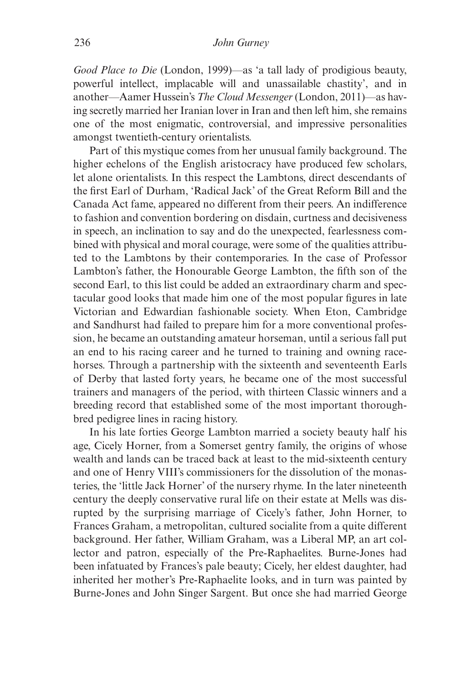*Good Place to Die* (London, 1999)—as 'a tall lady of prodigious beauty, powerful intellect, implacable will and unassailable chastity', and in another—Aamer Hussein's *The Cloud Messenger* (London, 2011)—as having secretly married her Iranian lover in Iran and then left him, she remains one of the most enigmatic, controversial, and impressive personalities amongst twentieth-century orientalists.

Part of this mystique comes from her unusual family background. The higher echelons of the English aristocracy have produced few scholars, let alone orientalists. In this respect the Lambtons, direct descendants of the first Earl of Durham, 'Radical Jack' of the Great Reform Bill and the Canada Act fame, appeared no different from their peers. An indifference to fashion and convention bordering on disdain, curtness and decisiveness in speech, an inclination to say and do the unexpected, fearlessness combined with physical and moral courage, were some of the qualities attributed to the Lambtons by their contemporaries. In the case of Professor Lambton's father, the Honourable George Lambton, the fifth son of the second Earl, to this list could be added an extraordinary charm and spectacular good looks that made him one of the most popular figures in late Victorian and Edwardian fashionable society. When Eton, Cambridge and Sandhurst had failed to prepare him for a more conventional profession, he became an outstanding amateur horseman, until a serious fall put an end to his racing career and he turned to training and owning racehorses. Through a partnership with the sixteenth and seventeenth Earls of Derby that lasted forty years, he became one of the most successful trainers and managers of the period, with thirteen Classic winners and a breeding record that established some of the most important thoroughbred pedigree lines in racing history.

In his late forties George Lambton married a society beauty half his age, Cicely Horner, from a Somerset gentry family, the origins of whose wealth and lands can be traced back at least to the mid-sixteenth century and one of Henry VIII's commissioners for the dissolution of the monasteries, the 'little Jack Horner' of the nursery rhyme. In the later nineteenth century the deeply conservative rural life on their estate at Mells was disrupted by the surprising marriage of Cicely's father, John Horner, to Frances Graham, a metropolitan, cultured socialite from a quite different background. Her father, William Graham, was a Liberal MP, an art collector and patron, especially of the Pre-Raphaelites. Burne-Jones had been infatuated by Frances's pale beauty; Cicely, her eldest daughter, had inherited her mother's Pre-Raphaelite looks, and in turn was painted by Burne-Jones and John Singer Sargent. But once she had married George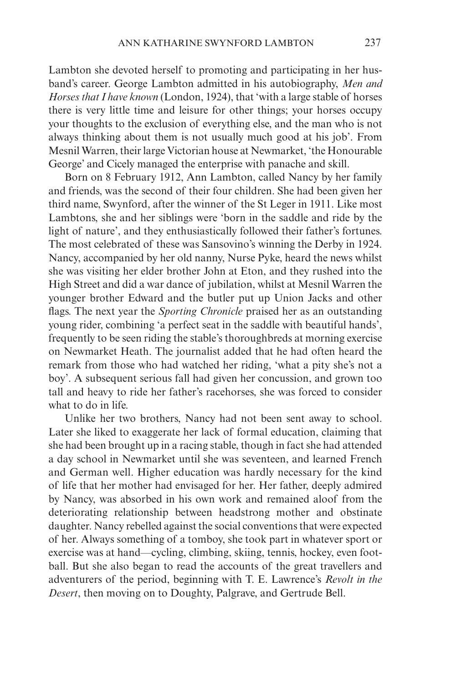Lambton she devoted herself to promoting and participating in her husband's career. George Lambton admitted in his autobiography, *Men and Horses that I have known* (London, 1924), that 'with a large stable of horses there is very little time and leisure for other things; your horses occupy your thoughts to the exclusion of everything else, and the man who is not always thinking about them is not usually much good at his job'. From Mesnil Warren, their large Victorian house at Newmarket, 'the Honourable George' and Cicely managed the enterprise with panache and skill.

Born on 8 February 1912, Ann Lambton, called Nancy by her family and friends, was the second of their four children. She had been given her third name, Swynford, after the winner of the St Leger in 1911. Like most Lambtons, she and her siblings were 'born in the saddle and ride by the light of nature', and they enthusiastically followed their father's fortunes. The most celebrated of these was Sansovino's winning the Derby in 1924. Nancy, accompanied by her old nanny, Nurse Pyke, heard the news whilst she was visiting her elder brother John at Eton, and they rushed into the High Street and did a war dance of jubilation, whilst at Mesnil Warren the younger brother Edward and the butler put up Union Jacks and other flags. The next year the *Sporting Chronicle* praised her as an outstanding young rider, combining 'a perfect seat in the saddle with beautiful hands', frequently to be seen riding the stable's thoroughbreds at morning exercise on Newmarket Heath. The journalist added that he had often heard the remark from those who had watched her riding, 'what a pity she's not a boy'. A subsequent serious fall had given her concussion, and grown too tall and heavy to ride her father's racehorses, she was forced to consider what to do in life.

Unlike her two brothers, Nancy had not been sent away to school. Later she liked to exaggerate her lack of formal education, claiming that she had been brought up in a racing stable, though in fact she had attended a day school in Newmarket until she was seventeen, and learned French and German well. Higher education was hardly necessary for the kind of life that her mother had envisaged for her. Her father, deeply admired by Nancy, was absorbed in his own work and remained aloof from the deteriorating relationship between headstrong mother and obstinate daughter. Nancy rebelled against the social conventions that were expected of her. Always something of a tomboy, she took part in whatever sport or exercise was at hand—cycling, climbing, skiing, tennis, hockey, even football. But she also began to read the accounts of the great travellers and adventurers of the period, beginning with T. E. Lawrence's *Revolt in the Desert*, then moving on to Doughty, Palgrave, and Gertrude Bell.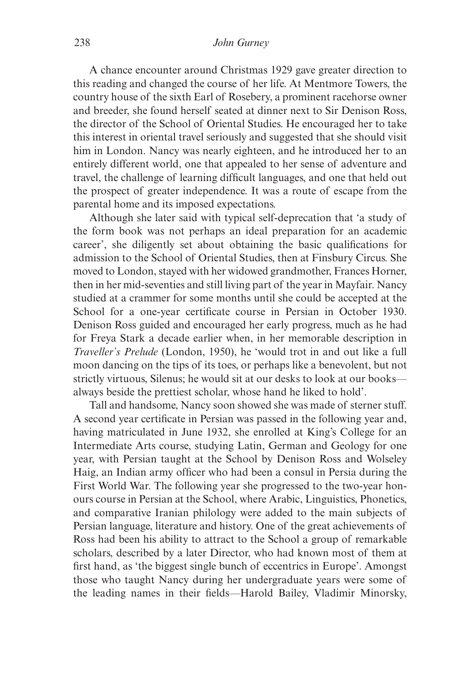A chance encounter around Christmas 1929 gave greater direction to this reading and changed the course of her life. At Mentmore Towers, the country house of the sixth Earl of Rosebery, a prominent racehorse owner and breeder, she found herself seated at dinner next to Sir Denison Ross, the director of the School of Oriental Studies. He encouraged her to take this interest in oriental travel seriously and suggested that she should visit him in London. Nancy was nearly eighteen, and he introduced her to an entirely different world, one that appealed to her sense of adventure and travel, the challenge of learning difficult languages, and one that held out the prospect of greater independence. It was a route of escape from the parental home and its imposed expectations.

Although she later said with typical self-deprecation that 'a study of the form book was not perhaps an ideal preparation for an academic career', she diligently set about obtaining the basic qualifications for admission to the School of Oriental Studies, then at Finsbury Circus. She moved to London, stayed with her widowed grandmother, Frances Horner, then in her mid-seventies and still living part of the year in Mayfair. Nancy studied at a crammer for some months until she could be accepted at the School for a one-year certificate course in Persian in October 1930. Denison Ross guided and encouraged her early progress, much as he had for Freya Stark a decade earlier when, in her memorable description in *Traveller's Prelude* (London, 1950), he 'would trot in and out like a full moon dancing on the tips of its toes, or perhaps like a benevolent, but not strictly virtuous, Silenus; he would sit at our desks to look at our books always beside the prettiest scholar, whose hand he liked to hold'.

Tall and handsome, Nancy soon showed she was made of sterner stuff. A second year certificate in Persian was passed in the following year and, having matriculated in June 1932, she enrolled at King's College for an Intermediate Arts course, studying Latin, German and Geology for one year, with Persian taught at the School by Denison Ross and Wolseley Haig, an Indian army officer who had been a consul in Persia during the First World War. The following year she progressed to the two-year honours course in Persian at the School, where Arabic, Linguistics, Phonetics, and comparative Iranian philology were added to the main subjects of Persian language, literature and history. One of the great achievements of Ross had been his ability to attract to the School a group of remarkable scholars, described by a later Director, who had known most of them at first hand, as 'the biggest single bunch of eccentrics in Europe'. Amongst those who taught Nancy during her undergraduate years were some of the leading names in their fields—Harold Bailey, Vladimir Minorsky,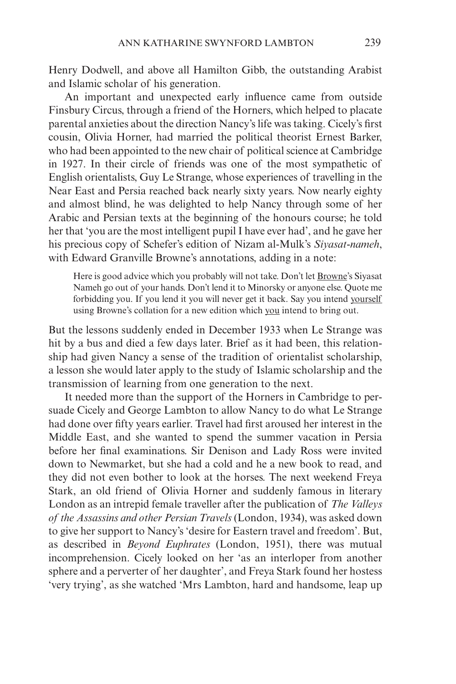Henry Dodwell, and above all Hamilton Gibb, the outstanding Arabist and Islamic scholar of his generation.

An important and unexpected early influence came from outside Finsbury Circus, through a friend of the Horners, which helped to placate parental anxieties about the direction Nancy's life was taking. Cicely's first cousin, Olivia Horner, had married the political theorist Ernest Barker, who had been appointed to the new chair of political science at Cambridge in 1927. In their circle of friends was one of the most sympathetic of English orientalists, Guy Le Strange, whose experiences of travelling in the Near East and Persia reached back nearly sixty years. Now nearly eighty and almost blind, he was delighted to help Nancy through some of her Arabic and Persian texts at the beginning of the honours course; he told her that 'you are the most intelligent pupil I have ever had', and he gave her his precious copy of Schefer's edition of Nizam al-Mulk's *Siyasat-nameh*, with Edward Granville Browne's annotations, adding in a note:

Here is good advice which you probably will not take. Don't let Browne's Siyasat Nameh go out of your hands. Don't lend it to Minorsky or anyone else. Quote me forbidding you. If you lend it you will never get it back. Say you intend yourself using Browne's collation for a new edition which you intend to bring out.

But the lessons suddenly ended in December 1933 when Le Strange was hit by a bus and died a few days later. Brief as it had been, this relationship had given Nancy a sense of the tradition of orientalist scholarship, a lesson she would later apply to the study of Islamic scholarship and the transmission of learning from one generation to the next.

It needed more than the support of the Horners in Cambridge to persuade Cicely and George Lambton to allow Nancy to do what Le Strange had done over fifty years earlier. Travel had first aroused her interest in the Middle East, and she wanted to spend the summer vacation in Persia before her final examinations. Sir Denison and Lady Ross were invited down to Newmarket, but she had a cold and he a new book to read, and they did not even bother to look at the horses. The next weekend Freya Stark, an old friend of Olivia Horner and suddenly famous in literary London as an intrepid female traveller after the publication of *The Valleys of the Assassins and other Persian Travels* (London, 1934), was asked down to give her support to Nancy's 'desire for Eastern travel and freedom'. But, as described in *Beyond Euphrates* (London, 1951), there was mutual incomprehension. Cicely looked on her 'as an interloper from another sphere and a perverter of her daughter', and Freya Stark found her hostess 'very trying', as she watched 'Mrs Lambton, hard and handsome, leap up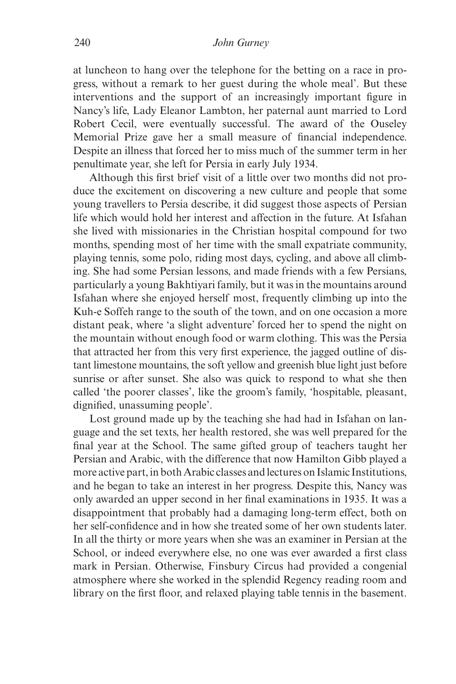at luncheon to hang over the telephone for the betting on a race in progress, without a remark to her guest during the whole meal'. But these interventions and the support of an increasingly important figure in Nancy's life, Lady Eleanor Lambton, her paternal aunt married to Lord Robert Cecil, were eventually successful. The award of the Ouseley Memorial Prize gave her a small measure of financial independence. Despite an illness that forced her to miss much of the summer term in her penultimate year, she left for Persia in early July 1934.

Although this first brief visit of a little over two months did not produce the excitement on discovering a new culture and people that some young travellers to Persia describe, it did suggest those aspects of Persian life which would hold her interest and affection in the future. At Isfahan she lived with missionaries in the Christian hospital compound for two months, spending most of her time with the small expatriate community, playing tennis, some polo, riding most days, cycling, and above all climbing. She had some Persian lessons, and made friends with a few Persians, particularly a young Bakhtiyari family, but it was in the mountains around Isfahan where she enjoyed herself most, frequently climbing up into the Kuh-e Soffeh range to the south of the town, and on one occasion a more distant peak, where 'a slight adventure' forced her to spend the night on the mountain without enough food or warm clothing. This was the Persia that attracted her from this very first experience, the jagged outline of distant limestone mountains, the soft yellow and greenish blue light just before sunrise or after sunset. She also was quick to respond to what she then called 'the poorer classes', like the groom's family, 'hospitable, pleasant, dignified, unassuming people'.

Lost ground made up by the teaching she had had in Isfahan on language and the set texts, her health restored, she was well prepared for the final year at the School. The same gifted group of teachers taught her Persian and Arabic, with the difference that now Hamilton Gibb played a more active part, in both Arabic classes and lectures on Islamic Institutions, and he began to take an interest in her progress. Despite this, Nancy was only awarded an upper second in her final examinations in 1935. It was a disappointment that probably had a damaging long-term effect, both on her self-confidence and in how she treated some of her own students later. In all the thirty or more years when she was an examiner in Persian at the School, or indeed everywhere else, no one was ever awarded a first class mark in Persian. Otherwise, Finsbury Circus had provided a congenial atmosphere where she worked in the splendid Regency reading room and library on the first floor, and relaxed playing table tennis in the basement.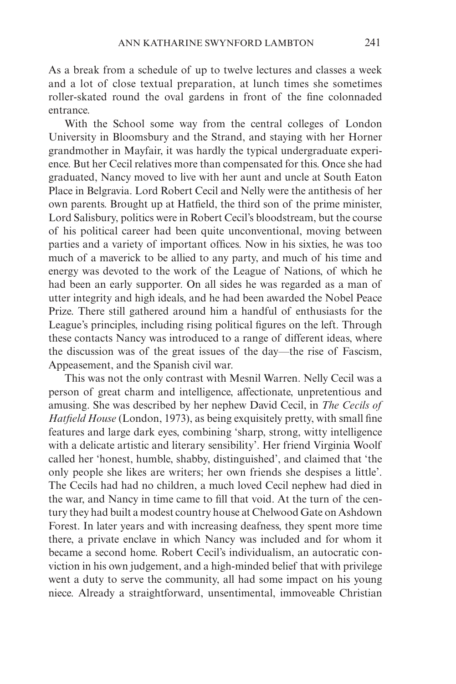As a break from a schedule of up to twelve lectures and classes a week and a lot of close textual preparation, at lunch times she sometimes roller-skated round the oval gardens in front of the fine colonnaded entrance.

With the School some way from the central colleges of London University in Bloomsbury and the Strand, and staying with her Horner grandmother in Mayfair, it was hardly the typical undergraduate experience. But her Cecil relatives more than compensated for this. Once she had graduated, Nancy moved to live with her aunt and uncle at South Eaton Place in Belgravia. Lord Robert Cecil and Nelly were the antithesis of her own parents. Brought up at Hatfield, the third son of the prime minister, Lord Salisbury, politics were in Robert Cecil's bloodstream, but the course of his political career had been quite unconventional, moving between parties and a variety of important offices. Now in his sixties, he was too much of a maverick to be allied to any party, and much of his time and energy was devoted to the work of the League of Nations, of which he had been an early supporter. On all sides he was regarded as a man of utter integrity and high ideals, and he had been awarded the Nobel Peace Prize. There still gathered around him a handful of enthusiasts for the League's principles, including rising political figures on the left. Through these contacts Nancy was introduced to a range of different ideas, where the discussion was of the great issues of the day—the rise of Fascism, Appeasement, and the Spanish civil war.

This was not the only contrast with Mesnil Warren. Nelly Cecil was a person of great charm and intelligence, affectionate, unpretentious and amusing. She was described by her nephew David Cecil, in *The Cecils of Hatfield House* (London, 1973), as being exquisitely pretty, with small fine features and large dark eyes, combining 'sharp, strong, witty intelligence with a delicate artistic and literary sensibility'. Her friend Virginia Woolf called her 'honest, humble, shabby, distinguished', and claimed that 'the only people she likes are writers; her own friends she despises a little'. The Cecils had had no children, a much loved Cecil nephew had died in the war, and Nancy in time came to fill that void. At the turn of the century they had built a modest country house at Chelwood Gate on Ashdown Forest. In later years and with increasing deafness, they spent more time there, a private enclave in which Nancy was included and for whom it became a second home. Robert Cecil's individualism, an autocratic conviction in his own judgement, and a high-minded belief that with privilege went a duty to serve the community, all had some impact on his young niece. Already a straightforward, unsentimental, immoveable Christian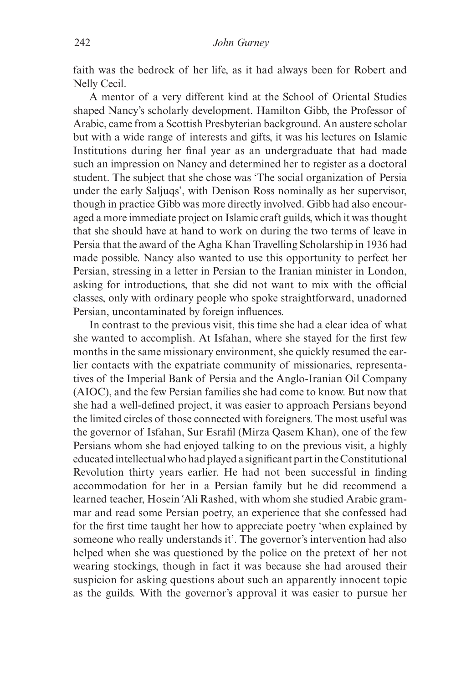faith was the bedrock of her life, as it had always been for Robert and Nelly Cecil.

A mentor of a very different kind at the School of Oriental Studies shaped Nancy's scholarly development. Hamilton Gibb, the Professor of Arabic, came from a Scottish Presbyterian background. An austere scholar but with a wide range of interests and gifts, it was his lectures on Islamic Institutions during her final year as an undergraduate that had made such an impression on Nancy and determined her to register as a doctoral student. The subject that she chose was 'The social organization of Persia under the early Saljuqs', with Denison Ross nominally as her supervisor, though in practice Gibb was more directly involved. Gibb had also encouraged a more immediate project on Islamic craft guilds, which it was thought that she should have at hand to work on during the two terms of leave in Persia that the award of the Agha Khan Travelling Scholarship in 1936 had made possible. Nancy also wanted to use this opportunity to perfect her Persian, stressing in a letter in Persian to the Iranian minister in London, asking for introductions, that she did not want to mix with the official classes, only with ordinary people who spoke straightforward, unadorned Persian, uncontaminated by foreign influences.

In contrast to the previous visit, this time she had a clear idea of what she wanted to accomplish. At Isfahan, where she stayed for the first few months in the same missionary environment, she quickly resumed the earlier contacts with the expatriate community of missionaries, representatives of the Imperial Bank of Persia and the Anglo-Iranian Oil Company (AIOC), and the few Persian families she had come to know. But now that she had a well-defined project, it was easier to approach Persians beyond the limited circles of those connected with foreigners. The most useful was the governor of Isfahan, Sur Esrafil (Mirza Qasem Khan), one of the few Persians whom she had enjoyed talking to on the previous visit, a highly educated intellectual who had played a significant part in the Constitutional Revolution thirty years earlier. He had not been successful in finding accommodation for her in a Persian family but he did recommend a learned teacher, Hosein 'Ali Rashed, with whom she studied Arabic grammar and read some Persian poetry, an experience that she confessed had for the first time taught her how to appreciate poetry 'when explained by someone who really understands it'. The governor's intervention had also helped when she was questioned by the police on the pretext of her not wearing stockings, though in fact it was because she had aroused their suspicion for asking questions about such an apparently innocent topic as the guilds. With the governor's approval it was easier to pursue her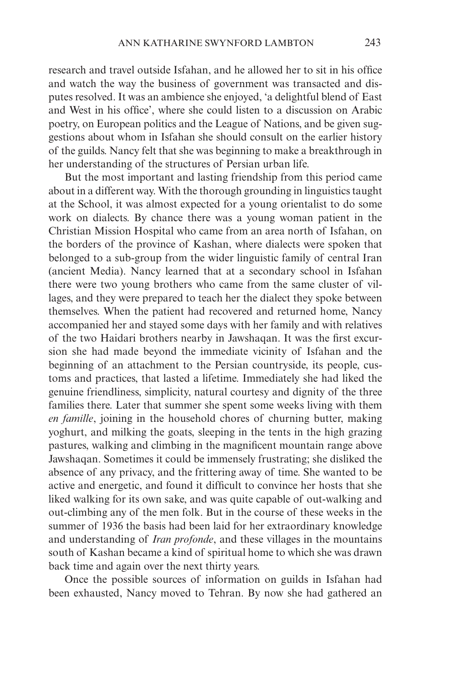research and travel outside Isfahan, and he allowed her to sit in his office and watch the way the business of government was transacted and disputes resolved. It was an ambience she enjoyed, 'a delightful blend of East and West in his office', where she could listen to a discussion on Arabic poetry, on European politics and the League of Nations, and be given suggestions about whom in Isfahan she should consult on the earlier history of the guilds. Nancy felt that she was beginning to make a breakthrough in her understanding of the structures of Persian urban life.

But the most important and lasting friendship from this period came about in a different way. With the thorough grounding in linguistics taught at the School, it was almost expected for a young orientalist to do some work on dialects. By chance there was a young woman patient in the Christian Mission Hospital who came from an area north of Isfahan, on the borders of the province of Kashan, where dialects were spoken that belonged to a sub-group from the wider linguistic family of central Iran (ancient Media). Nancy learned that at a secondary school in Isfahan there were two young brothers who came from the same cluster of villages, and they were prepared to teach her the dialect they spoke between themselves. When the patient had recovered and returned home, Nancy accompanied her and stayed some days with her family and with relatives of the two Haidari brothers nearby in Jawshaqan. It was the first excursion she had made beyond the immediate vicinity of Isfahan and the beginning of an attachment to the Persian countryside, its people, customs and practices, that lasted a lifetime. Immediately she had liked the genuine friendliness, simplicity, natural courtesy and dignity of the three families there. Later that summer she spent some weeks living with them *en famille*, joining in the household chores of churning butter, making yoghurt, and milking the goats, sleeping in the tents in the high grazing pastures, walking and climbing in the magnificent mountain range above Jawshaqan. Sometimes it could be immensely frustrating; she disliked the absence of any privacy, and the frittering away of time. She wanted to be active and energetic, and found it difficult to convince her hosts that she liked walking for its own sake, and was quite capable of out-walking and out-climbing any of the men folk. But in the course of these weeks in the summer of 1936 the basis had been laid for her extraordinary knowledge and understanding of *Iran profonde*, and these villages in the mountains south of Kashan became a kind of spiritual home to which she was drawn back time and again over the next thirty years.

Once the possible sources of information on guilds in Isfahan had been exhausted, Nancy moved to Tehran. By now she had gathered an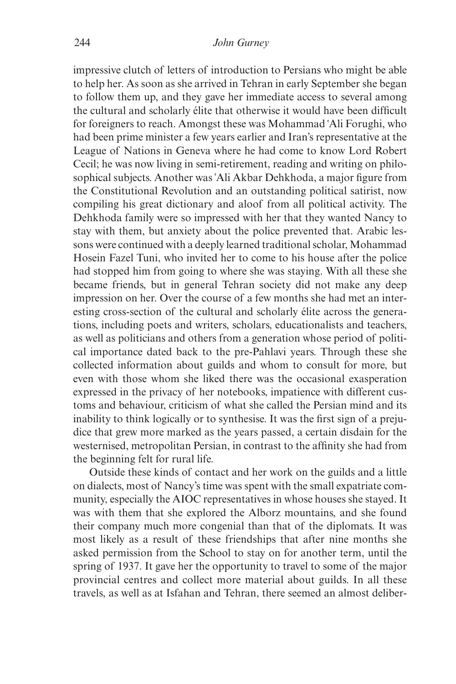impressive clutch of letters of introduction to Persians who might be able to help her. As soon as she arrived in Tehran in early September she began to follow them up, and they gave her immediate access to several among the cultural and scholarly élite that otherwise it would have been difficult for foreigners to reach. Amongst these was Mohammad {Ali Forughi, who had been prime minister a few years earlier and Iran's representative at the League of Nations in Geneva where he had come to know Lord Robert Cecil; he was now living in semi-retirement, reading and writing on philosophical subjects. Another was {Ali Akbar Dehkhoda, a major figure from the Constitutional Revolution and an outstanding political satirist, now compiling his great dictionary and aloof from all political activity. The Dehkhoda family were so impressed with her that they wanted Nancy to stay with them, but anxiety about the police prevented that. Arabic lessons were continued with a deeply learned traditional scholar, Mohammad Hosein Fazel Tuni, who invited her to come to his house after the police had stopped him from going to where she was staying. With all these she became friends, but in general Tehran society did not make any deep impression on her. Over the course of a few months she had met an interesting cross-section of the cultural and scholarly élite across the generations, including poets and writers, scholars, educationalists and teachers, as well as politicians and others from a generation whose period of political importance dated back to the pre-Pahlavi years. Through these she collected information about guilds and whom to consult for more, but even with those whom she liked there was the occasional exasperation expressed in the privacy of her notebooks, impatience with different customs and behaviour, criticism of what she called the Persian mind and its inability to think logically or to synthesise. It was the first sign of a prejudice that grew more marked as the years passed, a certain disdain for the westernised, metropolitan Persian, in contrast to the affinity she had from the beginning felt for rural life.

Outside these kinds of contact and her work on the guilds and a little on dialects, most of Nancy's time was spent with the small expatriate community, especially the AIOC representatives in whose houses she stayed. It was with them that she explored the Alborz mountains, and she found their company much more congenial than that of the diplomats. It was most likely as a result of these friendships that after nine months she asked permission from the School to stay on for another term, until the spring of 1937. It gave her the opportunity to travel to some of the major provincial centres and collect more material about guilds. In all these travels, as well as at Isfahan and Tehran, there seemed an almost deliber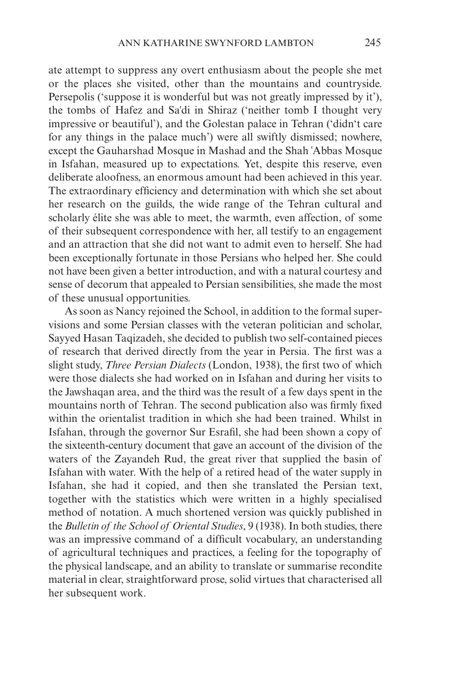ate attempt to suppress any overt enthusiasm about the people she met or the places she visited, other than the mountains and countryside. Persepolis ('suppose it is wonderful but was not greatly impressed by it'), the tombs of Hafez and Sa{di in Shiraz ('neither tomb I thought very impressive or beautiful'), and the Golestan palace in Tehran ('didn't care for any things in the palace much') were all swiftly dismissed; nowhere, except the Gauharshad Mosque in Mashad and the Shah {Abbas Mosque in Isfahan, measured up to expectations. Yet, despite this reserve, even deliberate aloofness, an enormous amount had been achieved in this year. The extraordinary efficiency and determination with which she set about her research on the guilds, the wide range of the Tehran cultural and scholarly élite she was able to meet, the warmth, even affection, of some of their subsequent correspondence with her, all testify to an engagement and an attraction that she did not want to admit even to herself. She had been exceptionally fortunate in those Persians who helped her. She could not have been given a better introduction, and with a natural courtesy and sense of decorum that appealed to Persian sensibilities, she made the most of these unusual opportunities.

As soon as Nancy rejoined the School, in addition to the formal supervisions and some Persian classes with the veteran politician and scholar, Sayyed Hasan Taqizadeh, she decided to publish two self-contained pieces of research that derived directly from the year in Persia. The first was a slight study, *Three Persian Dialects* (London, 1938), the first two of which were those dialects she had worked on in Isfahan and during her visits to the Jawshaqan area, and the third was the result of a few days spent in the mountains north of Tehran. The second publication also was firmly fixed within the orientalist tradition in which she had been trained. Whilst in Isfahan, through the governor Sur Esrafil, she had been shown a copy of the sixteenth-century document that gave an account of the division of the waters of the Zayandeh Rud, the great river that supplied the basin of Isfahan with water. With the help of a retired head of the water supply in Isfahan, she had it copied, and then she translated the Persian text, together with the statistics which were written in a highly specialised method of notation. A much shortened version was quickly published in the *Bulletin of the School of Oriental Studies*, 9 (1938). In both studies, there was an impressive command of a difficult vocabulary, an understanding of agricultural techniques and practices, a feeling for the topography of the physical landscape, and an ability to translate or summarise recondite material in clear, straightforward prose, solid virtues that characterised all her subsequent work.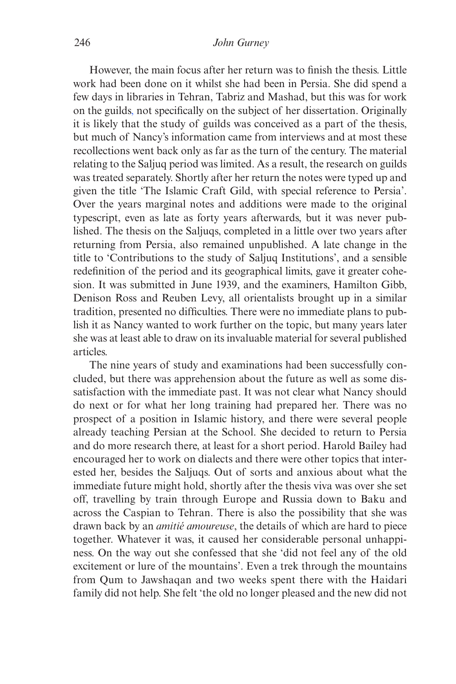However, the main focus after her return was to finish the thesis. Little work had been done on it whilst she had been in Persia. She did spend a few days in libraries in Tehran, Tabriz and Mashad, but this was for work on the guilds, not specifically on the subject of her dissertation. Originally it is likely that the study of guilds was conceived as a part of the thesis, but much of Nancy's information came from interviews and at most these recollections went back only as far as the turn of the century. The material relating to the Saljuq period was limited. As a result, the research on guilds was treated separately. Shortly after her return the notes were typed up and given the title 'The Islamic Craft Gild, with special reference to Persia'. Over the years marginal notes and additions were made to the original typescript, even as late as forty years afterwards, but it was never published. The thesis on the Saljuqs, completed in a little over two years after returning from Persia, also remained unpublished. A late change in the title to 'Contributions to the study of Saljuq Institutions', and a sensible redefinition of the period and its geographical limits, gave it greater cohesion. It was submitted in June 1939, and the examiners, Hamilton Gibb, Denison Ross and Reuben Levy, all orientalists brought up in a similar tradition, presented no difficulties. There were no immediate plans to publish it as Nancy wanted to work further on the topic, but many years later she was at least able to draw on its invaluable material for several published articles.

The nine years of study and examinations had been successfully concluded, but there was apprehension about the future as well as some dissatisfaction with the immediate past. It was not clear what Nancy should do next or for what her long training had prepared her. There was no prospect of a position in Islamic history, and there were several people already teaching Persian at the School. She decided to return to Persia and do more research there, at least for a short period. Harold Bailey had encouraged her to work on dialects and there were other topics that interested her, besides the Saljuqs. Out of sorts and anxious about what the immediate future might hold, shortly after the thesis viva was over she set off, travelling by train through Europe and Russia down to Baku and across the Caspian to Tehran. There is also the possibility that she was drawn back by an *amitié amoureuse*, the details of which are hard to piece together. Whatever it was, it caused her considerable personal unhappiness. On the way out she confessed that she 'did not feel any of the old excitement or lure of the mountains'. Even a trek through the mountains from Qum to Jawshaqan and two weeks spent there with the Haidari family did not help. She felt 'the old no longer pleased and the new did not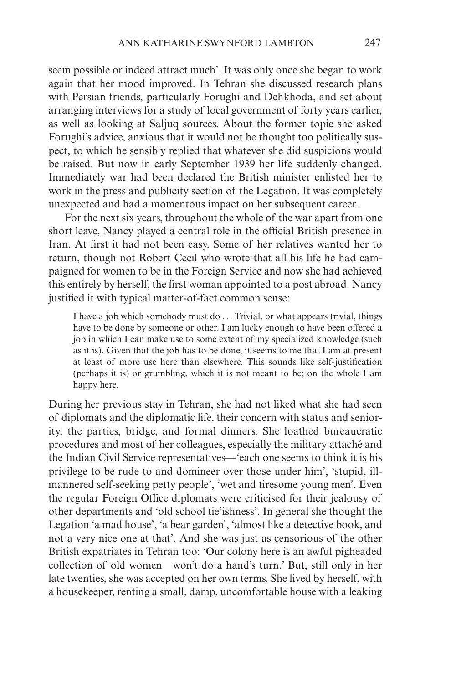seem possible or indeed attract much'. It was only once she began to work again that her mood improved. In Tehran she discussed research plans with Persian friends, particularly Forughi and Dehkhoda, and set about arranging interviews for a study of local government of forty years earlier, as well as looking at Saljuq sources. About the former topic she asked Forughi's advice, anxious that it would not be thought too politically suspect, to which he sensibly replied that whatever she did suspicions would be raised. But now in early September 1939 her life suddenly changed. Immediately war had been declared the British minister enlisted her to work in the press and publicity section of the Legation. It was completely unexpected and had a momentous impact on her subsequent career.

For the next six years, throughout the whole of the war apart from one short leave, Nancy played a central role in the official British presence in Iran. At first it had not been easy. Some of her relatives wanted her to return, though not Robert Cecil who wrote that all his life he had campaigned for women to be in the Foreign Service and now she had achieved this entirely by herself, the first woman appointed to a post abroad. Nancy justified it with typical matter-of-fact common sense:

I have a job which somebody must do ... Trivial, or what appears trivial, things have to be done by someone or other. I am lucky enough to have been offered a job in which I can make use to some extent of my specialized knowledge (such as it is). Given that the job has to be done, it seems to me that I am at present at least of more use here than elsewhere. This sounds like self-justification (perhaps it is) or grumbling, which it is not meant to be; on the whole I am happy here.

During her previous stay in Tehran, she had not liked what she had seen of diplomats and the diplomatic life, their concern with status and seniority, the parties, bridge, and formal dinners. She loathed bureaucratic procedures and most of her colleagues, especially the military attaché and the Indian Civil Service representatives—'each one seems to think it is his privilege to be rude to and domineer over those under him', 'stupid, illmannered self-seeking petty people', 'wet and tiresome young men'. Even the regular Foreign Office diplomats were criticised for their jealousy of other departments and 'old school tie'ishness'. In general she thought the Legation 'a mad house', 'a bear garden', 'almost like a detective book, and not a very nice one at that'. And she was just as censorious of the other British expatriates in Tehran too: 'Our colony here is an awful pigheaded collection of old women—won't do a hand's turn.' But, still only in her late twenties, she was accepted on her own terms. She lived by herself, with a housekeeper, renting a small, damp, uncomfortable house with a leaking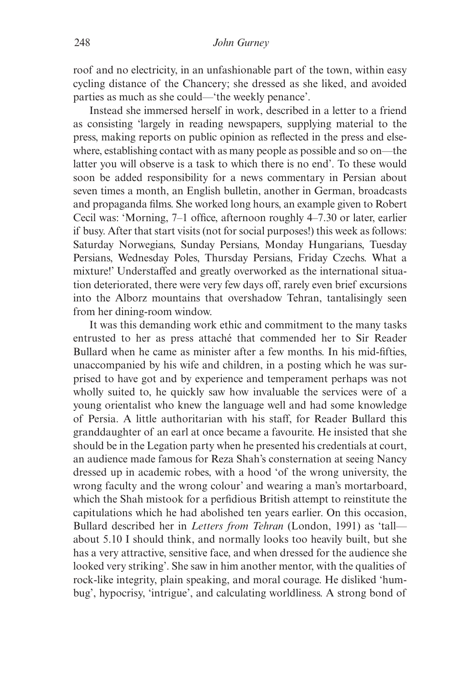roof and no electricity, in an unfashionable part of the town, within easy cycling distance of the Chancery; she dressed as she liked, and avoided parties as much as she could—'the weekly penance'.

Instead she immersed herself in work, described in a letter to a friend as consisting 'largely in reading newspapers, supplying material to the press, making reports on public opinion as reflected in the press and elsewhere, establishing contact with as many people as possible and so on—the latter you will observe is a task to which there is no end'. To these would soon be added responsibility for a news commentary in Persian about seven times a month, an English bulletin, another in German, broadcasts and propaganda films. She worked long hours, an example given to Robert Cecil was: 'Morning, 7–1 office, afternoon roughly 4–7.30 or later, earlier if busy. After that start visits (not for social purposes!) this week as follows: Saturday Norwegians, Sunday Persians, Monday Hungarians, Tuesday Persians, Wednesday Poles, Thursday Persians, Friday Czechs. What a mixture!' Understaffed and greatly overworked as the international situation deteriorated, there were very few days off, rarely even brief excursions into the Alborz mountains that overshadow Tehran, tantalisingly seen from her dining-room window.

It was this demanding work ethic and commitment to the many tasks entrusted to her as press attaché that commended her to Sir Reader Bullard when he came as minister after a few months. In his mid-fifties, unaccompanied by his wife and children, in a posting which he was surprised to have got and by experience and temperament perhaps was not wholly suited to, he quickly saw how invaluable the services were of a young orientalist who knew the language well and had some knowledge of Persia. A little authoritarian with his staff, for Reader Bullard this granddaughter of an earl at once became a favourite. He insisted that she should be in the Legation party when he presented his credentials at court, an audience made famous for Reza Shah's consternation at seeing Nancy dressed up in academic robes, with a hood 'of the wrong university, the wrong faculty and the wrong colour' and wearing a man's mortarboard, which the Shah mistook for a perfidious British attempt to reinstitute the capitulations which he had abolished ten years earlier. On this occasion, Bullard described her in *Letters from Tehran* (London, 1991) as 'tall about 5.10 I should think, and normally looks too heavily built, but she has a very attractive, sensitive face, and when dressed for the audience she looked very striking'. She saw in him another mentor, with the qualities of rock-like integrity, plain speaking, and moral courage. He disliked 'humbug', hypocrisy, 'intrigue', and calculating worldliness. A strong bond of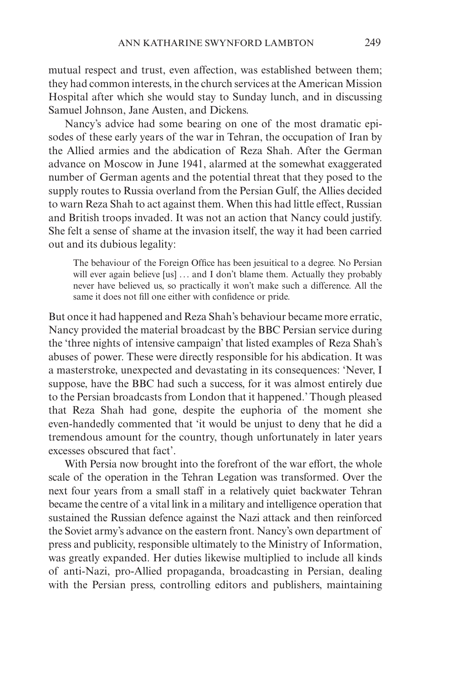mutual respect and trust, even affection, was established between them; they had common interests, in the church services at the American Mission Hospital after which she would stay to Sunday lunch, and in discussing Samuel Johnson, Jane Austen, and Dickens.

Nancy's advice had some bearing on one of the most dramatic episodes of these early years of the war in Tehran, the occupation of Iran by the Allied armies and the abdication of Reza Shah. After the German advance on Moscow in June 1941, alarmed at the somewhat exaggerated number of German agents and the potential threat that they posed to the supply routes to Russia overland from the Persian Gulf, the Allies decided to warn Reza Shah to act against them. When this had little effect, Russian and British troops invaded. It was not an action that Nancy could justify. She felt a sense of shame at the invasion itself, the way it had been carried out and its dubious legality:

The behaviour of the Foreign Office has been jesuitical to a degree. No Persian will ever again believe [us] ... and I don't blame them. Actually they probably never have believed us, so practically it won't make such a difference. All the same it does not fill one either with confidence or pride.

But once it had happened and Reza Shah's behaviour became more erratic, Nancy provided the material broadcast by the BBC Persian service during the 'three nights of intensive campaign' that listed examples of Reza Shah's abuses of power. These were directly responsible for his abdication. It was a masterstroke, unexpected and devastating in its consequences: 'Never, I suppose, have the BBC had such a success, for it was almost entirely due to the Persian broadcasts from London that it happened.' Though pleased that Reza Shah had gone, despite the euphoria of the moment she even-handedly commented that 'it would be unjust to deny that he did a tremendous amount for the country, though unfortunately in later years excesses obscured that fact'.

With Persia now brought into the forefront of the war effort, the whole scale of the operation in the Tehran Legation was transformed. Over the next four years from a small staff in a relatively quiet backwater Tehran became the centre of a vital link in a military and intelligence operation that sustained the Russian defence against the Nazi attack and then reinforced the Soviet army's advance on the eastern front. Nancy's own department of press and publicity, responsible ultimately to the Ministry of Information, was greatly expanded. Her duties likewise multiplied to include all kinds of anti-Nazi, pro-Allied propaganda, broadcasting in Persian, dealing with the Persian press, controlling editors and publishers, maintaining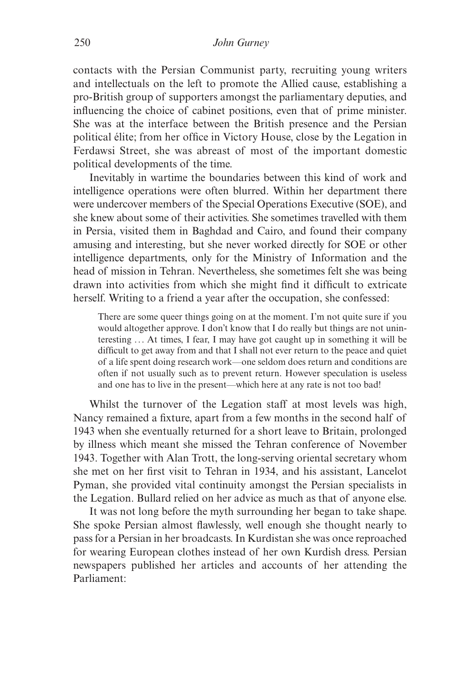contacts with the Persian Communist party, recruiting young writers and intellectuals on the left to promote the Allied cause, establishing a pro-British group of supporters amongst the parliamentary deputies, and influencing the choice of cabinet positions, even that of prime minister. She was at the interface between the British presence and the Persian political élite; from her office in Victory House, close by the Legation in Ferdawsi Street, she was abreast of most of the important domestic political developments of the time.

Inevitably in wartime the boundaries between this kind of work and intelligence operations were often blurred. Within her department there were undercover members of the Special Operations Executive (SOE), and she knew about some of their activities. She sometimes travelled with them in Persia, visited them in Baghdad and Cairo, and found their company amusing and interesting, but she never worked directly for SOE or other intelligence departments, only for the Ministry of Information and the head of mission in Tehran. Nevertheless, she sometimes felt she was being drawn into activities from which she might find it difficult to extricate herself. Writing to a friend a year after the occupation, she confessed:

There are some queer things going on at the moment. I'm not quite sure if you would altogether approve. I don't know that I do really but things are not uninteresting ... At times, I fear, I may have got caught up in something it will be difficult to get away from and that I shall not ever return to the peace and quiet of a life spent doing research work—one seldom does return and conditions are often if not usually such as to prevent return. However speculation is useless and one has to live in the present—which here at any rate is not too bad!

Whilst the turnover of the Legation staff at most levels was high, Nancy remained a fixture, apart from a few months in the second half of 1943 when she eventually returned for a short leave to Britain, prolonged by illness which meant she missed the Tehran conference of November 1943. Together with Alan Trott, the long-serving oriental secretary whom she met on her first visit to Tehran in 1934, and his assistant, Lancelot Pyman, she provided vital continuity amongst the Persian specialists in the Legation. Bullard relied on her advice as much as that of anyone else.

It was not long before the myth surrounding her began to take shape. She spoke Persian almost flawlessly, well enough she thought nearly to pass for a Persian in her broadcasts. In Kurdistan she was once reproached for wearing European clothes instead of her own Kurdish dress. Persian newspapers published her articles and accounts of her attending the Parliament: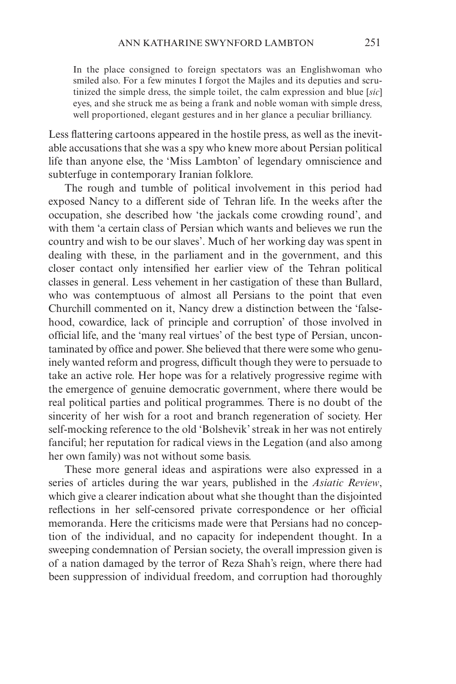In the place consigned to foreign spectators was an Englishwoman who smiled also. For a few minutes I forgot the Majles and its deputies and scrutinized the simple dress, the simple toilet, the calm expression and blue [*sic*] eyes, and she struck me as being a frank and noble woman with simple dress, well proportioned, elegant gestures and in her glance a peculiar brilliancy.

Less flattering cartoons appeared in the hostile press, as well as the inevitable accusations that she was a spy who knew more about Persian political life than anyone else, the 'Miss Lambton' of legendary omniscience and subterfuge in contemporary Iranian folklore.

The rough and tumble of political involvement in this period had exposed Nancy to a different side of Tehran life. In the weeks after the occupation, she described how 'the jackals come crowding round', and with them 'a certain class of Persian which wants and believes we run the country and wish to be our slaves'. Much of her working day was spent in dealing with these, in the parliament and in the government, and this closer contact only intensified her earlier view of the Tehran political classes in general. Less vehement in her castigation of these than Bullard, who was contemptuous of almost all Persians to the point that even Churchill commented on it, Nancy drew a distinction between the 'falsehood, cowardice, lack of principle and corruption' of those involved in official life, and the 'many real virtues' of the best type of Persian, uncontaminated by office and power. She believed that there were some who genuinely wanted reform and progress, difficult though they were to persuade to take an active role. Her hope was for a relatively progressive regime with the emergence of genuine democratic government, where there would be real political parties and political programmes. There is no doubt of the sincerity of her wish for a root and branch regeneration of society. Her self-mocking reference to the old 'Bolshevik' streak in her was not entirely fanciful; her reputation for radical views in the Legation (and also among her own family) was not without some basis.

These more general ideas and aspirations were also expressed in a series of articles during the war years, published in the *Asiatic Review*, which give a clearer indication about what she thought than the disjointed reflections in her self-censored private correspondence or her official memoranda. Here the criticisms made were that Persians had no conception of the individual, and no capacity for independent thought. In a sweeping condemnation of Persian society, the overall impression given is of a nation damaged by the terror of Reza Shah's reign, where there had been suppression of individual freedom, and corruption had thoroughly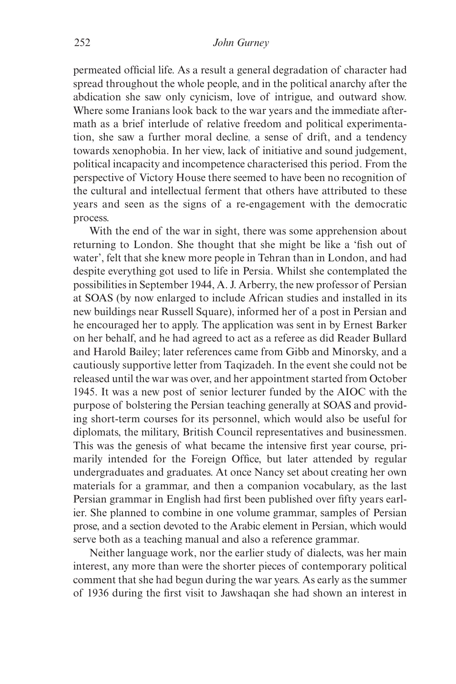permeated official life. As a result a general degradation of character had spread throughout the whole people, and in the political anarchy after the abdication she saw only cynicism, love of intrigue, and outward show. Where some Iranians look back to the war years and the immediate aftermath as a brief interlude of relative freedom and political experimentation, she saw a further moral decline, a sense of drift, and a tendency towards xenophobia. In her view, lack of initiative and sound judgement, political incapacity and incompetence characterised this period. From the perspective of Victory House there seemed to have been no recognition of the cultural and intellectual ferment that others have attributed to these years and seen as the signs of a re-engagement with the democratic process.

With the end of the war in sight, there was some apprehension about returning to London. She thought that she might be like a 'fish out of water', felt that she knew more people in Tehran than in London, and had despite everything got used to life in Persia. Whilst she contemplated the possibilities in September 1944, A. J. Arberry, the new professor of Persian at SOAS (by now enlarged to include African studies and installed in its new buildings near Russell Square), informed her of a post in Persian and he encouraged her to apply. The application was sent in by Ernest Barker on her behalf, and he had agreed to act as a referee as did Reader Bullard and Harold Bailey; later references came from Gibb and Minorsky, and a cautiously supportive letter from Taqizadeh. In the event she could not be released until the war was over, and her appointment started from October 1945. It was a new post of senior lecturer funded by the AIOC with the purpose of bolstering the Persian teaching generally at SOAS and providing short-term courses for its personnel, which would also be useful for diplomats, the military, British Council representatives and businessmen. This was the genesis of what became the intensive first year course, primarily intended for the Foreign Office, but later attended by regular undergraduates and graduates. At once Nancy set about creating her own materials for a grammar, and then a companion vocabulary, as the last Persian grammar in English had first been published over fifty years earlier. She planned to combine in one volume grammar, samples of Persian prose, and a section devoted to the Arabic element in Persian, which would serve both as a teaching manual and also a reference grammar.

Neither language work, nor the earlier study of dialects, was her main interest, any more than were the shorter pieces of contemporary political comment that she had begun during the war years. As early as the summer of 1936 during the first visit to Jawshaqan she had shown an interest in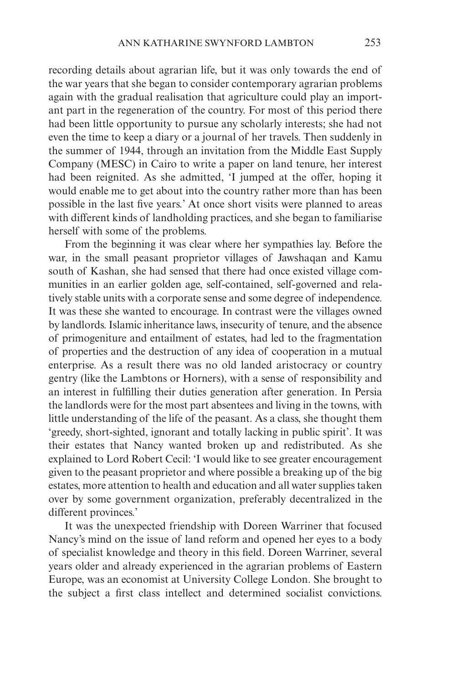recording details about agrarian life, but it was only towards the end of the war years that she began to consider contemporary agrarian problems again with the gradual realisation that agriculture could play an important part in the regeneration of the country. For most of this period there had been little opportunity to pursue any scholarly interests; she had not even the time to keep a diary or a journal of her travels. Then suddenly in the summer of 1944, through an invitation from the Middle East Supply Company (MESC) in Cairo to write a paper on land tenure, her interest had been reignited. As she admitted, 'I jumped at the offer, hoping it would enable me to get about into the country rather more than has been possible in the last five years.' At once short visits were planned to areas with different kinds of landholding practices, and she began to familiarise herself with some of the problems.

From the beginning it was clear where her sympathies lay. Before the war, in the small peasant proprietor villages of Jawshaqan and Kamu south of Kashan, she had sensed that there had once existed village communities in an earlier golden age, self-contained, self-governed and relatively stable units with a corporate sense and some degree of independence. It was these she wanted to encourage. In contrast were the villages owned by landlords. Islamic inheritance laws, insecurity of tenure, and the absence of primogeniture and entailment of estates, had led to the fragmentation of properties and the destruction of any idea of cooperation in a mutual enterprise. As a result there was no old landed aristocracy or country gentry (like the Lambtons or Horners), with a sense of responsibility and an interest in fulfilling their duties generation after generation. In Persia the landlords were for the most part absentees and living in the towns, with little understanding of the life of the peasant. As a class, she thought them 'greedy, short-sighted, ignorant and totally lacking in public spirit'. It was their estates that Nancy wanted broken up and redistributed. As she explained to Lord Robert Cecil: 'I would like to see greater encouragement given to the peasant proprietor and where possible a breaking up of the big estates, more attention to health and education and all water supplies taken over by some government organization, preferably decentralized in the different provinces.'

It was the unexpected friendship with Doreen Warriner that focused Nancy's mind on the issue of land reform and opened her eyes to a body of specialist knowledge and theory in this field. Doreen Warriner, several years older and already experienced in the agrarian problems of Eastern Europe, was an economist at University College London. She brought to the subject a first class intellect and determined socialist convictions.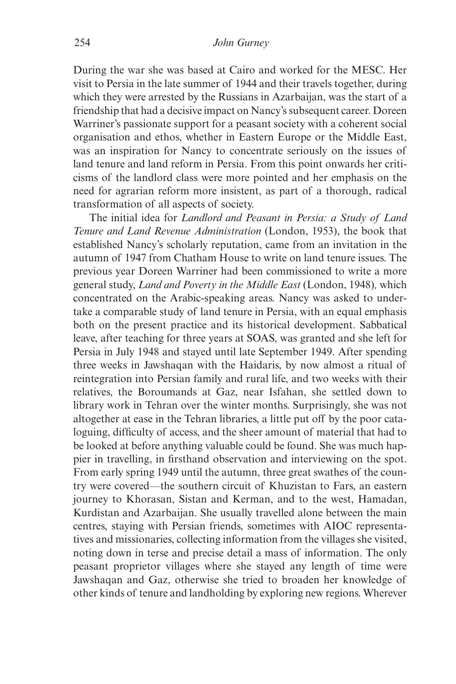During the war she was based at Cairo and worked for the MESC. Her visit to Persia in the late summer of 1944 and their travels together, during which they were arrested by the Russians in Azarbaijan, was the start of a friendship that had a decisive impact on Nancy's subsequent career. Doreen Warriner's passionate support for a peasant society with a coherent social organisation and ethos, whether in Eastern Europe or the Middle East, was an inspiration for Nancy to concentrate seriously on the issues of land tenure and land reform in Persia. From this point onwards her criticisms of the landlord class were more pointed and her emphasis on the need for agrarian reform more insistent, as part of a thorough, radical transformation of all aspects of society.

The initial idea for *Landlord and Peasant in Persia: a Study of Land Tenure and Land Revenue Administration* (London, 1953), the book that established Nancy's scholarly reputation, came from an invitation in the autumn of 1947 from Chatham House to write on land tenure issues. The previous year Doreen Warriner had been commissioned to write a more general study, *Land and Poverty in the Middle East* (London, 1948)*,* which concentrated on the Arabic-speaking areas. Nancy was asked to undertake a comparable study of land tenure in Persia, with an equal emphasis both on the present practice and its historical development. Sabbatical leave, after teaching for three years at SOAS, was granted and she left for Persia in July 1948 and stayed until late September 1949. After spending three weeks in Jawshaqan with the Haidaris, by now almost a ritual of reintegration into Persian family and rural life, and two weeks with their relatives, the Boroumands at Gaz, near Isfahan, she settled down to library work in Tehran over the winter months. Surprisingly, she was not altogether at ease in the Tehran libraries, a little put off by the poor cataloguing, difficulty of access, and the sheer amount of material that had to be looked at before anything valuable could be found. She was much happier in travelling, in firsthand observation and interviewing on the spot. From early spring 1949 until the autumn, three great swathes of the country were covered—the southern circuit of Khuzistan to Fars, an eastern journey to Khorasan, Sistan and Kerman, and to the west, Hamadan, Kurdistan and Azarbaijan. She usually travelled alone between the main centres, staying with Persian friends, sometimes with AIOC representatives and missionaries, collecting information from the villages she visited, noting down in terse and precise detail a mass of information. The only peasant proprietor villages where she stayed any length of time were Jawshaqan and Gaz, otherwise she tried to broaden her knowledge of other kinds of tenure and landholding by exploring new regions. Wherever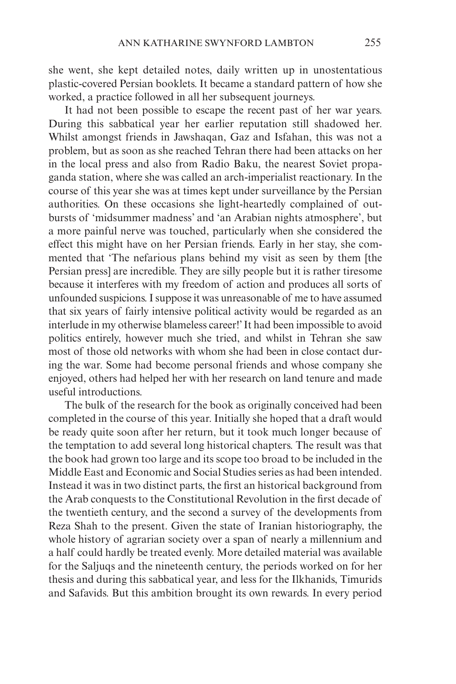she went, she kept detailed notes, daily written up in unostentatious plastic-covered Persian booklets. It became a standard pattern of how she worked, a practice followed in all her subsequent journeys.

It had not been possible to escape the recent past of her war years. During this sabbatical year her earlier reputation still shadowed her. Whilst amongst friends in Jawshaqan, Gaz and Isfahan, this was not a problem, but as soon as she reached Tehran there had been attacks on her in the local press and also from Radio Baku, the nearest Soviet propaganda station, where she was called an arch-imperialist reactionary. In the course of this year she was at times kept under surveillance by the Persian authorities. On these occasions she light-heartedly complained of outbursts of 'midsummer madness' and 'an Arabian nights atmosphere', but a more painful nerve was touched, particularly when she considered the effect this might have on her Persian friends. Early in her stay, she commented that 'The nefarious plans behind my visit as seen by them [the Persian press] are incredible. They are silly people but it is rather tiresome because it interferes with my freedom of action and produces all sorts of unfounded suspicions. I suppose it was unreasonable of me to have assumed that six years of fairly intensive political activity would be regarded as an interlude in my otherwise blameless career!' It had been impossible to avoid politics entirely, however much she tried, and whilst in Tehran she saw most of those old networks with whom she had been in close contact during the war. Some had become personal friends and whose company she enjoyed, others had helped her with her research on land tenure and made useful introductions.

The bulk of the research for the book as originally conceived had been completed in the course of this year. Initially she hoped that a draft would be ready quite soon after her return, but it took much longer because of the temptation to add several long historical chapters. The result was that the book had grown too large and its scope too broad to be included in the Middle East and Economic and Social Studies series as had been intended. Instead it was in two distinct parts, the first an historical background from the Arab conquests to the Constitutional Revolution in the first decade of the twentieth century, and the second a survey of the developments from Reza Shah to the present. Given the state of Iranian historiography, the whole history of agrarian society over a span of nearly a millennium and a half could hardly be treated evenly. More detailed material was available for the Saljuqs and the nineteenth century, the periods worked on for her thesis and during this sabbatical year, and less for the Ilkhanids, Timurids and Safavids. But this ambition brought its own rewards. In every period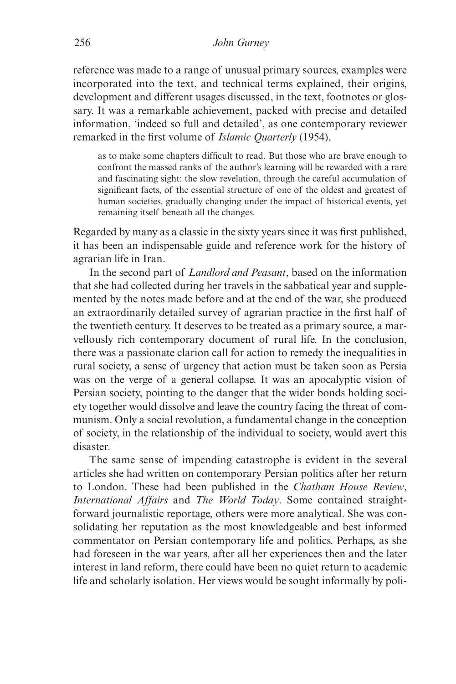reference was made to a range of unusual primary sources, examples were incorporated into the text, and technical terms explained, their origins, development and different usages discussed, in the text, footnotes or glossary. It was a remarkable achievement, packed with precise and detailed information, 'indeed so full and detailed', as one contemporary reviewer remarked in the first volume of *Islamic Quarterly* (1954),

as to make some chapters difficult to read. But those who are brave enough to confront the massed ranks of the author's learning will be rewarded with a rare and fascinating sight: the slow revelation, through the careful accumulation of significant facts, of the essential structure of one of the oldest and greatest of human societies, gradually changing under the impact of historical events, yet remaining itself beneath all the changes.

Regarded by many as a classic in the sixty years since it was first published, it has been an indispensable guide and reference work for the history of agrarian life in Iran.

In the second part of *Landlord and Peasant*, based on the information that she had collected during her travels in the sabbatical year and supplemented by the notes made before and at the end of the war, she produced an extraordinarily detailed survey of agrarian practice in the first half of the twentieth century. It deserves to be treated as a primary source, a marvellously rich contemporary document of rural life. In the conclusion, there was a passionate clarion call for action to remedy the inequalities in rural society, a sense of urgency that action must be taken soon as Persia was on the verge of a general collapse. It was an apocalyptic vision of Persian society, pointing to the danger that the wider bonds holding society together would dissolve and leave the country facing the threat of communism. Only a social revolution, a fundamental change in the conception of society, in the relationship of the individual to society, would avert this disaster.

The same sense of impending catastrophe is evident in the several articles she had written on contemporary Persian politics after her return to London. These had been published in the *Chatham House Review*, *International Affairs* and *The World Today*. Some contained straightforward journalistic reportage, others were more analytical. She was consolidating her reputation as the most knowledgeable and best informed commentator on Persian contemporary life and politics. Perhaps, as she had foreseen in the war years, after all her experiences then and the later interest in land reform, there could have been no quiet return to academic life and scholarly isolation. Her views would be sought informally by poli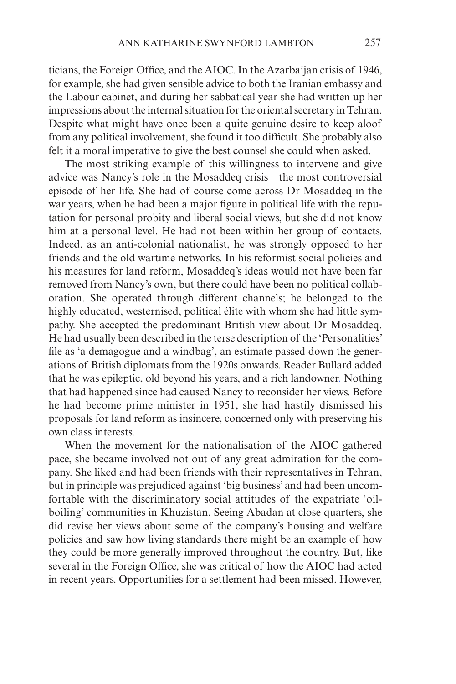ticians, the Foreign Office, and the AIOC. In the Azarbaijan crisis of 1946, for example, she had given sensible advice to both the Iranian embassy and the Labour cabinet, and during her sabbatical year she had written up her impressions about the internal situation for the oriental secretary in Tehran. Despite what might have once been a quite genuine desire to keep aloof from any political involvement, she found it too difficult. She probably also felt it a moral imperative to give the best counsel she could when asked.

The most striking example of this willingness to intervene and give advice was Nancy's role in the Mosaddeq crisis—the most controversial episode of her life. She had of course come across Dr Mosaddeq in the war years, when he had been a major figure in political life with the reputation for personal probity and liberal social views, but she did not know him at a personal level. He had not been within her group of contacts. Indeed, as an anti-colonial nationalist, he was strongly opposed to her friends and the old wartime networks. In his reformist social policies and his measures for land reform, Mosaddeq's ideas would not have been far removed from Nancy's own, but there could have been no political collaboration. She operated through different channels; he belonged to the highly educated, westernised, political élite with whom she had little sympathy. She accepted the predominant British view about Dr Mosaddeq. He had usually been described in the terse description of the 'Personalities' file as 'a demagogue and a windbag', an estimate passed down the generations of British diplomats from the 1920s onwards. Reader Bullard added that he was epileptic, old beyond his years, and a rich landowner. Nothing that had happened since had caused Nancy to reconsider her views. Before he had become prime minister in 1951, she had hastily dismissed his proposals for land reform as insincere, concerned only with preserving his own class interests.

When the movement for the nationalisation of the AIOC gathered pace, she became involved not out of any great admiration for the company. She liked and had been friends with their representatives in Tehran, but in principle was prejudiced against 'big business' and had been uncomfortable with the discriminatory social attitudes of the expatriate 'oilboiling' communities in Khuzistan. Seeing Abadan at close quarters, she did revise her views about some of the company's housing and welfare policies and saw how living standards there might be an example of how they could be more generally improved throughout the country. But, like several in the Foreign Office, she was critical of how the AIOC had acted in recent years. Opportunities for a settlement had been missed. However,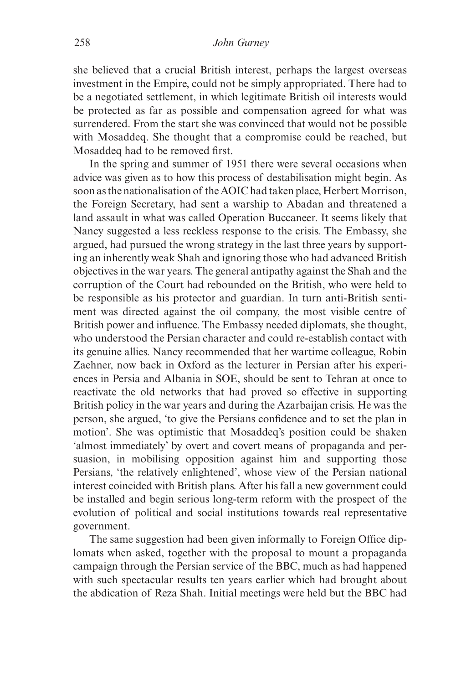she believed that a crucial British interest, perhaps the largest overseas investment in the Empire, could not be simply appropriated. There had to be a negotiated settlement, in which legitimate British oil interests would be protected as far as possible and compensation agreed for what was surrendered. From the start she was convinced that would not be possible with Mosaddeq. She thought that a compromise could be reached, but Mosaddeq had to be removed first.

In the spring and summer of 1951 there were several occasions when advice was given as to how this process of destabilisation might begin. As soon as the nationalisation of the AOIC had taken place, Herbert Morrison, the Foreign Secretary, had sent a warship to Abadan and threatened a land assault in what was called Operation Buccaneer. It seems likely that Nancy suggested a less reckless response to the crisis. The Embassy, she argued, had pursued the wrong strategy in the last three years by supporting an inherently weak Shah and ignoring those who had advanced British objectives in the war years. The general antipathy against the Shah and the corruption of the Court had rebounded on the British, who were held to be responsible as his protector and guardian. In turn anti-British sentiment was directed against the oil company, the most visible centre of British power and influence. The Embassy needed diplomats, she thought, who understood the Persian character and could re-establish contact with its genuine allies. Nancy recommended that her wartime colleague, Robin Zaehner, now back in Oxford as the lecturer in Persian after his experiences in Persia and Albania in SOE, should be sent to Tehran at once to reactivate the old networks that had proved so effective in supporting British policy in the war years and during the Azarbaijan crisis. He was the person, she argued, 'to give the Persians confidence and to set the plan in motion'. She was optimistic that Mosaddeq's position could be shaken 'almost immediately' by overt and covert means of propaganda and persuasion, in mobilising opposition against him and supporting those Persians, 'the relatively enlightened', whose view of the Persian national interest coincided with British plans. After his fall a new government could be installed and begin serious long-term reform with the prospect of the evolution of political and social institutions towards real representative government.

The same suggestion had been given informally to Foreign Office diplomats when asked, together with the proposal to mount a propaganda campaign through the Persian service of the BBC, much as had happened with such spectacular results ten years earlier which had brought about the abdication of Reza Shah. Initial meetings were held but the BBC had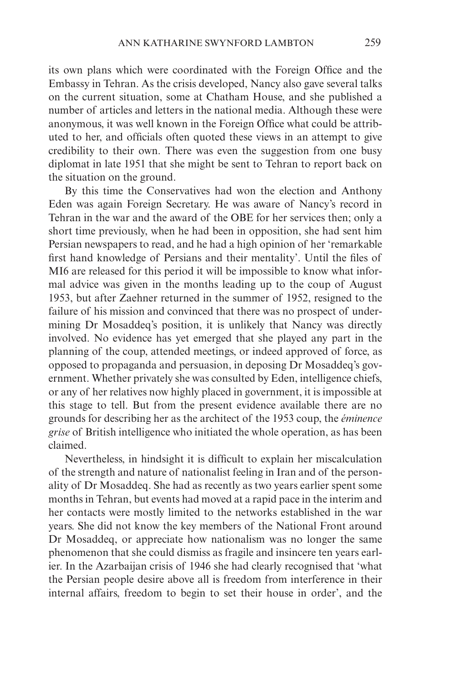its own plans which were coordinated with the Foreign Office and the Embassy in Tehran. As the crisis developed, Nancy also gave several talks on the current situation, some at Chatham House, and she published a number of articles and letters in the national media. Although these were anonymous, it was well known in the Foreign Office what could be attributed to her, and officials often quoted these views in an attempt to give credibility to their own. There was even the suggestion from one busy diplomat in late 1951 that she might be sent to Tehran to report back on the situation on the ground.

By this time the Conservatives had won the election and Anthony Eden was again Foreign Secretary. He was aware of Nancy's record in Tehran in the war and the award of the OBE for her services then; only a short time previously, when he had been in opposition, she had sent him Persian newspapers to read, and he had a high opinion of her 'remarkable first hand knowledge of Persians and their mentality'. Until the files of MI6 are released for this period it will be impossible to know what informal advice was given in the months leading up to the coup of August 1953, but after Zaehner returned in the summer of 1952, resigned to the failure of his mission and convinced that there was no prospect of undermining Dr Mosaddeq's position, it is unlikely that Nancy was directly involved. No evidence has yet emerged that she played any part in the planning of the coup, attended meetings, or indeed approved of force, as opposed to propaganda and persuasion, in deposing Dr Mosaddeq's government. Whether privately she was consulted by Eden, intelligence chiefs, or any of her relatives now highly placed in government, it is impossible at this stage to tell. But from the present evidence available there are no grounds for describing her as the architect of the 1953 coup, the *éminence grise* of British intelligence who initiated the whole operation, as has been claimed.

Nevertheless, in hindsight it is difficult to explain her miscalculation of the strength and nature of nationalist feeling in Iran and of the personality of Dr Mosaddeq. She had as recently as two years earlier spent some months in Tehran, but events had moved at a rapid pace in the interim and her contacts were mostly limited to the networks established in the war years. She did not know the key members of the National Front around Dr Mosaddeq, or appreciate how nationalism was no longer the same phenomenon that she could dismiss as fragile and insincere ten years earlier. In the Azarbaijan crisis of 1946 she had clearly recognised that 'what the Persian people desire above all is freedom from interference in their internal affairs, freedom to begin to set their house in order', and the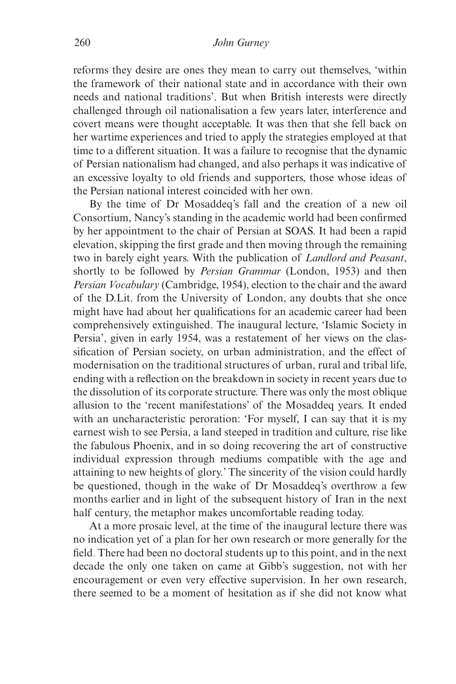reforms they desire are ones they mean to carry out themselves, 'within the framework of their national state and in accordance with their own needs and national traditions'. But when British interests were directly challenged through oil nationalisation a few years later, interference and covert means were thought acceptable. It was then that she fell back on her wartime experiences and tried to apply the strategies employed at that time to a different situation. It was a failure to recognise that the dynamic of Persian nationalism had changed, and also perhaps it was indicative of an excessive loyalty to old friends and supporters, those whose ideas of the Persian national interest coincided with her own.

By the time of Dr Mosaddeq's fall and the creation of a new oil Consortium, Nancy's standing in the academic world had been confirmed by her appointment to the chair of Persian at SOAS. It had been a rapid elevation, skipping the first grade and then moving through the remaining two in barely eight years. With the publication of *Landlord and Peasant*, shortly to be followed by *Persian Grammar* (London, 1953) and then *Persian Vocabulary* (Cambridge, 1954), election to the chair and the award of the D.Lit. from the University of London, any doubts that she once might have had about her qualifications for an academic career had been comprehensively extinguished. The inaugural lecture, 'Islamic Society in Persia', given in early 1954, was a restatement of her views on the classification of Persian society, on urban administration, and the effect of modernisation on the traditional structures of urban, rural and tribal life, ending with a reflection on the breakdown in society in recent years due to the dissolution of its corporate structure. There was only the most oblique allusion to the 'recent manifestations' of the Mosaddeq years. It ended with an uncharacteristic peroration: 'For myself, I can say that it is my earnest wish to see Persia, a land steeped in tradition and culture, rise like the fabulous Phoenix, and in so doing recovering the art of constructive individual expression through mediums compatible with the age and attaining to new heights of glory.' The sincerity of the vision could hardly be questioned, though in the wake of Dr Mosaddeq's overthrow a few months earlier and in light of the subsequent history of Iran in the next half century, the metaphor makes uncomfortable reading today.

At a more prosaic level, at the time of the inaugural lecture there was no indication yet of a plan for her own research or more generally for the field. There had been no doctoral students up to this point, and in the next decade the only one taken on came at Gibb's suggestion, not with her encouragement or even very effective supervision. In her own research, there seemed to be a moment of hesitation as if she did not know what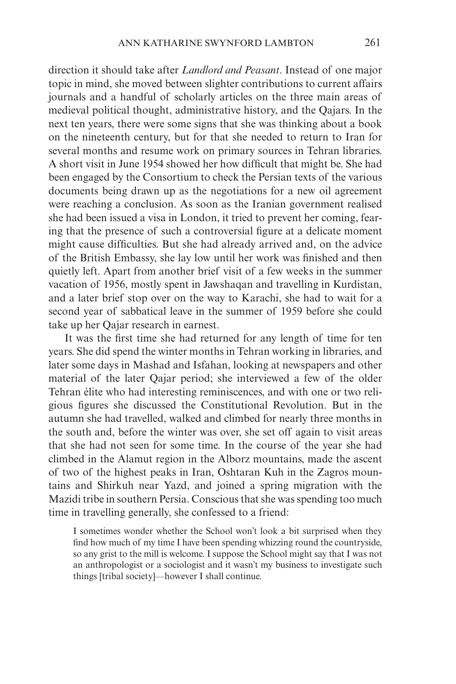direction it should take after *Landlord and Peasant*. Instead of one major topic in mind, she moved between slighter contributions to current affairs journals and a handful of scholarly articles on the three main areas of medieval political thought, administrative history, and the Qajars. In the next ten years, there were some signs that she was thinking about a book on the nineteenth century, but for that she needed to return to Iran for several months and resume work on primary sources in Tehran libraries. A short visit in June 1954 showed her how difficult that might be. She had been engaged by the Consortium to check the Persian texts of the various documents being drawn up as the negotiations for a new oil agreement were reaching a conclusion. As soon as the Iranian government realised she had been issued a visa in London, it tried to prevent her coming, fearing that the presence of such a controversial figure at a delicate moment might cause difficulties. But she had already arrived and, on the advice of the British Embassy, she lay low until her work was finished and then quietly left. Apart from another brief visit of a few weeks in the summer vacation of 1956, mostly spent in Jawshaqan and travelling in Kurdistan, and a later brief stop over on the way to Karachi, she had to wait for a second year of sabbatical leave in the summer of 1959 before she could take up her Qajar research in earnest.

It was the first time she had returned for any length of time for ten years. She did spend the winter months in Tehran working in libraries, and later some days in Mashad and Isfahan, looking at newspapers and other material of the later Qajar period; she interviewed a few of the older Tehran élite who had interesting reminiscences, and with one or two religious figures she discussed the Constitutional Revolution. But in the autumn she had travelled, walked and climbed for nearly three months in the south and, before the winter was over, she set off again to visit areas that she had not seen for some time. In the course of the year she had climbed in the Alamut region in the Alborz mountains, made the ascent of two of the highest peaks in Iran, Oshtaran Kuh in the Zagros mountains and Shirkuh near Yazd, and joined a spring migration with the Mazidi tribe in southern Persia. Conscious that she was spending too much time in travelling generally, she confessed to a friend:

I sometimes wonder whether the School won't look a bit surprised when they find how much of my time I have been spending whizzing round the countryside, so any grist to the mill is welcome. I suppose the School might say that I was not an anthropologist or a sociologist and it wasn't my business to investigate such things [tribal society]—however I shall continue.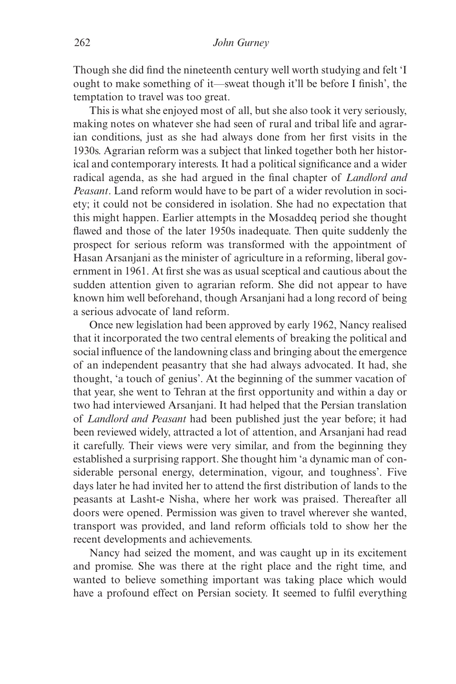Though she did find the nineteenth century well worth studying and felt 'I ought to make something of it—sweat though it'll be before I finish', the temptation to travel was too great.

This is what she enjoyed most of all, but she also took it very seriously, making notes on whatever she had seen of rural and tribal life and agrarian conditions, just as she had always done from her first visits in the 1930s. Agrarian reform was a subject that linked together both her historical and contemporary interests. It had a political significance and a wider radical agenda, as she had argued in the final chapter of *Landlord and Peasant*. Land reform would have to be part of a wider revolution in society; it could not be considered in isolation. She had no expectation that this might happen. Earlier attempts in the Mosaddeq period she thought flawed and those of the later 1950s inadequate. Then quite suddenly the prospect for serious reform was transformed with the appointment of Hasan Arsanjani as the minister of agriculture in a reforming, liberal government in 1961. At first she was as usual sceptical and cautious about the sudden attention given to agrarian reform. She did not appear to have known him well beforehand, though Arsanjani had a long record of being a serious advocate of land reform.

Once new legislation had been approved by early 1962, Nancy realised that it incorporated the two central elements of breaking the political and social influence of the landowning class and bringing about the emergence of an independent peasantry that she had always advocated. It had, she thought, 'a touch of genius'. At the beginning of the summer vacation of that year, she went to Tehran at the first opportunity and within a day or two had interviewed Arsanjani. It had helped that the Persian translation of *Landlord and Peasant* had been published just the year before; it had been reviewed widely, attracted a lot of attention, and Arsanjani had read it carefully. Their views were very similar, and from the beginning they established a surprising rapport. She thought him 'a dynamic man of considerable personal energy, determination, vigour, and toughness'. Five days later he had invited her to attend the first distribution of lands to the peasants at Lasht-e Nisha, where her work was praised. Thereafter all doors were opened. Permission was given to travel wherever she wanted, transport was provided, and land reform officials told to show her the recent developments and achievements.

Nancy had seized the moment, and was caught up in its excitement and promise. She was there at the right place and the right time, and wanted to believe something important was taking place which would have a profound effect on Persian society. It seemed to fulfil everything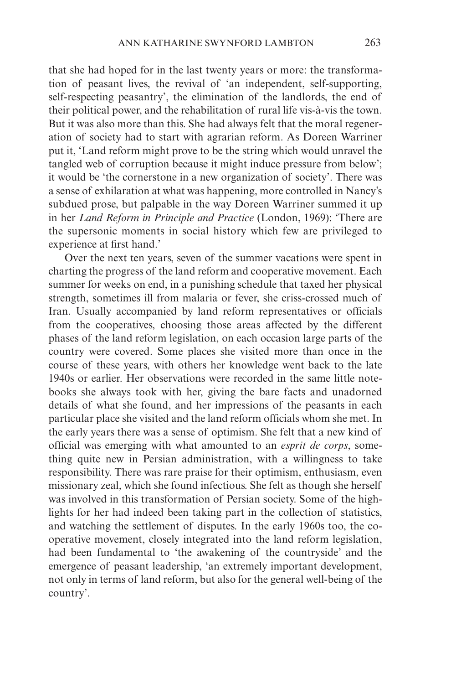that she had hoped for in the last twenty years or more: the transformation of peasant lives, the revival of 'an independent, self-supporting, self-respecting peasantry', the elimination of the landlords, the end of their political power, and the rehabilitation of rural life vis-à-vis the town. But it was also more than this. She had always felt that the moral regeneration of society had to start with agrarian reform. As Doreen Warriner put it, 'Land reform might prove to be the string which would unravel the tangled web of corruption because it might induce pressure from below'; it would be 'the cornerstone in a new organization of society'. There was a sense of exhilaration at what was happening, more controlled in Nancy's subdued prose, but palpable in the way Doreen Warriner summed it up in her *Land Reform in Principle and Practice* (London, 1969): 'There are the supersonic moments in social history which few are privileged to experience at first hand.'

Over the next ten years, seven of the summer vacations were spent in charting the progress of the land reform and cooperative movement. Each summer for weeks on end, in a punishing schedule that taxed her physical strength, sometimes ill from malaria or fever, she criss-crossed much of Iran. Usually accompanied by land reform representatives or officials from the cooperatives, choosing those areas affected by the different phases of the land reform legislation, on each occasion large parts of the country were covered. Some places she visited more than once in the course of these years, with others her knowledge went back to the late 1940s or earlier. Her observations were recorded in the same little notebooks she always took with her, giving the bare facts and unadorned details of what she found, and her impressions of the peasants in each particular place she visited and the land reform officials whom she met. In the early years there was a sense of optimism. She felt that a new kind of official was emerging with what amounted to an *esprit de corps*, something quite new in Persian administration, with a willingness to take responsibility. There was rare praise for their optimism, enthusiasm, even missionary zeal, which she found infectious. She felt as though she herself was involved in this transformation of Persian society. Some of the highlights for her had indeed been taking part in the collection of statistics, and watching the settlement of disputes. In the early 1960s too, the cooperative movement, closely integrated into the land reform legislation, had been fundamental to 'the awakening of the countryside' and the emergence of peasant leadership, 'an extremely important development, not only in terms of land reform, but also for the general well-being of the country'.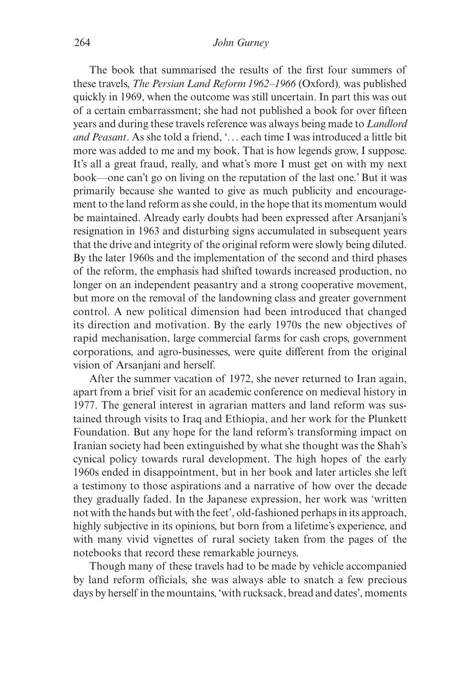## 264 *John Gurney*

The book that summarised the results of the first four summers of these travels, *The Persian Land Reform 1962–1966* (Oxford)*,* was published quickly in 1969, when the outcome was still uncertain. In part this was out of a certain embarrassment; she had not published a book for over fifteen years and during these travels reference was always being made to *Landlord and Peasant*. As she told a friend, '... each time I was introduced a little bit more was added to me and my book. That is how legends grow, I suppose. It's all a great fraud, really, and what's more I must get on with my next book—one can't go on living on the reputation of the last one.' But it was primarily because she wanted to give as much publicity and encouragement to the land reform as she could, in the hope that its momentum would be maintained. Already early doubts had been expressed after Arsanjani's resignation in 1963 and disturbing signs accumulated in subsequent years that the drive and integrity of the original reform were slowly being diluted. By the later 1960s and the implementation of the second and third phases of the reform, the emphasis had shifted towards increased production, no longer on an independent peasantry and a strong cooperative movement, but more on the removal of the landowning class and greater government control. A new political dimension had been introduced that changed its direction and motivation. By the early 1970s the new objectives of rapid mechanisation, large commercial farms for cash crops, government corporations, and agro-businesses, were quite different from the original vision of Arsanjani and herself.

After the summer vacation of 1972, she never returned to Iran again, apart from a brief visit for an academic conference on medieval history in 1977. The general interest in agrarian matters and land reform was sustained through visits to Iraq and Ethiopia, and her work for the Plunkett Foundation. But any hope for the land reform's transforming impact on Iranian society had been extinguished by what she thought was the Shah's cynical policy towards rural development. The high hopes of the early 1960s ended in disappointment, but in her book and later articles she left a testimony to those aspirations and a narrative of how over the decade they gradually faded. In the Japanese expression, her work was 'written not with the hands but with the feet', old-fashioned perhaps in its approach, highly subjective in its opinions, but born from a lifetime's experience, and with many vivid vignettes of rural society taken from the pages of the notebooks that record these remarkable journeys.

Though many of these travels had to be made by vehicle accompanied by land reform officials, she was always able to snatch a few precious days by herself in the mountains, 'with rucksack, bread and dates', moments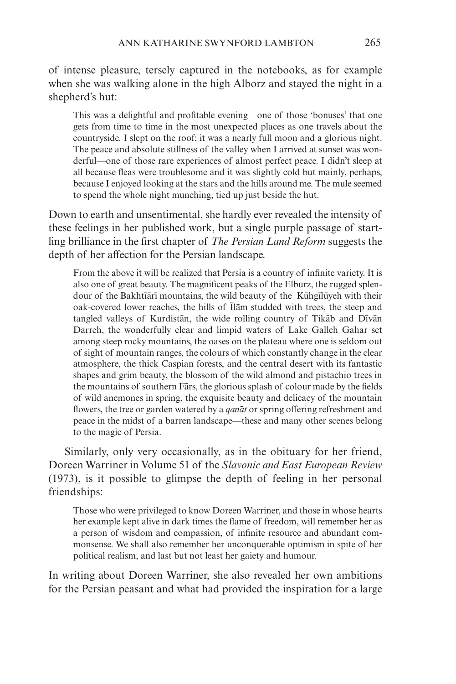of intense pleasure, tersely captured in the notebooks, as for example when she was walking alone in the high Alborz and stayed the night in a shepherd's hut:

This was a delightful and profitable evening—one of those 'bonuses' that one gets from time to time in the most unexpected places as one travels about the countryside. I slept on the roof; it was a nearly full moon and a glorious night. The peace and absolute stillness of the valley when I arrived at sunset was wonderful—one of those rare experiences of almost perfect peace. I didn't sleep at all because fleas were troublesome and it was slightly cold but mainly, perhaps, because I enjoyed looking at the stars and the hills around me. The mule seemed to spend the whole night munching, tied up just beside the hut.

Down to earth and unsentimental, she hardly ever revealed the intensity of these feelings in her published work, but a single purple passage of startling brilliance in the first chapter of *The Persian Land Reform* suggests the depth of her affection for the Persian landscape.

From the above it will be realized that Persia is a country of infinite variety. It is also one of great beauty. The magnificent peaks of the Elburz, the rugged splendour of the Bakhtīārī mountains, the wild beauty of the Kūhgīlūyeh with their oak-covered lower reaches, the hills of Ilam studded with trees, the steep and tangled valleys of Kurdistan, the wide rolling country of Tikab and Divan Darreh, the wonderfully clear and limpid waters of Lake Galleh Gahar set among steep rocky mountains, the oases on the plateau where one is seldom out of sight of mountain ranges, the colours of which constantly change in the clear atmosphere, the thick Caspian forests, and the central desert with its fantastic shapes and grim beauty, the blossom of the wild almond and pistachio trees in the mountains of southern Fars, the glorious splash of colour made by the fields of wild anemones in spring, the exquisite beauty and delicacy of the mountain flowers, the tree or garden watered by a *qanat* or spring offering refreshment and peace in the midst of a barren landscape—these and many other scenes belong to the magic of Persia.

Similarly, only very occasionally, as in the obituary for her friend, Doreen Warriner in Volume 51 of the *Slavonic and East European Review* (1973), is it possible to glimpse the depth of feeling in her personal friendships:

Those who were privileged to know Doreen Warriner, and those in whose hearts her example kept alive in dark times the flame of freedom, will remember her as a person of wisdom and compassion, of infinite resource and abundant commonsense. We shall also remember her unconquerable optimism in spite of her political realism, and last but not least her gaiety and humour.

In writing about Doreen Warriner, she also revealed her own ambitions for the Persian peasant and what had provided the inspiration for a large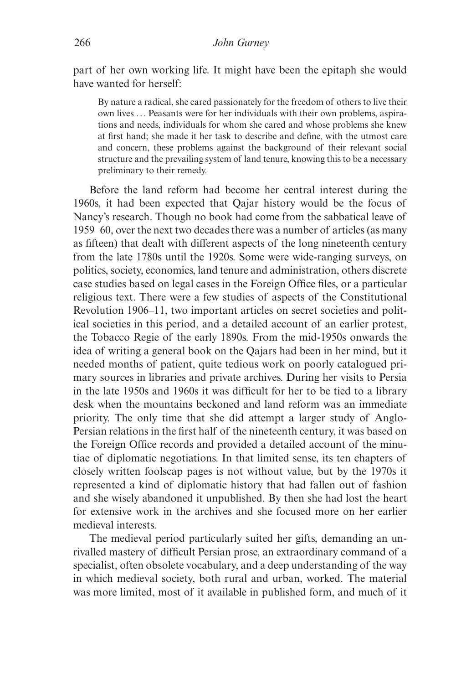part of her own working life. It might have been the epitaph she would have wanted for herself:

By nature a radical, she cared passionately for the freedom of others to live their own lives ... Peasants were for her individuals with their own problems, aspirations and needs, individuals for whom she cared and whose problems she knew at first hand; she made it her task to describe and define, with the utmost care and concern, these problems against the background of their relevant social structure and the prevailing system of land tenure, knowing this to be a necessary preliminary to their remedy.

Before the land reform had become her central interest during the 1960s, it had been expected that Qajar history would be the focus of Nancy's research. Though no book had come from the sabbatical leave of 1959–60, over the next two decades there was a number of articles (as many as fifteen) that dealt with different aspects of the long nineteenth century from the late 1780s until the 1920s. Some were wide-ranging surveys, on politics, society, economics, land tenure and administration, others discrete case studies based on legal cases in the Foreign Office files, or a particular religious text. There were a few studies of aspects of the Constitutional Revolution 1906–11, two important articles on secret societies and political societies in this period, and a detailed account of an earlier protest, the Tobacco Regie of the early 1890s. From the mid-1950s onwards the idea of writing a general book on the Qajars had been in her mind, but it needed months of patient, quite tedious work on poorly catalogued primary sources in libraries and private archives. During her visits to Persia in the late 1950s and 1960s it was difficult for her to be tied to a library desk when the mountains beckoned and land reform was an immediate priority. The only time that she did attempt a larger study of Anglo-Persian relations in the first half of the nineteenth century, it was based on the Foreign Office records and provided a detailed account of the minutiae of diplomatic negotiations. In that limited sense, its ten chapters of closely written foolscap pages is not without value, but by the 1970s it represented a kind of diplomatic history that had fallen out of fashion and she wisely abandoned it unpublished. By then she had lost the heart for extensive work in the archives and she focused more on her earlier medieval interests.

The medieval period particularly suited her gifts, demanding an unrivalled mastery of difficult Persian prose, an extraordinary command of a specialist, often obsolete vocabulary, and a deep understanding of the way in which medieval society, both rural and urban, worked. The material was more limited, most of it available in published form, and much of it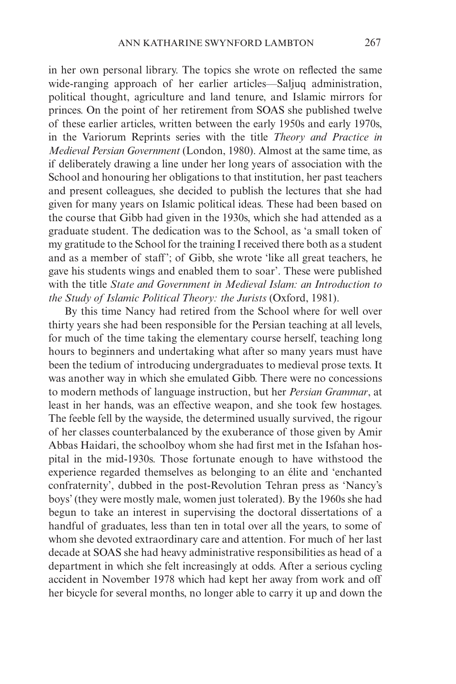in her own personal library. The topics she wrote on reflected the same wide-ranging approach of her earlier articles—Saljuq administration, political thought, agriculture and land tenure, and Islamic mirrors for princes. On the point of her retirement from SOAS she published twelve of these earlier articles, written between the early 1950s and early 1970s, in the Variorum Reprints series with the title *Theory and Practice in Medieval Persian Government* (London, 1980). Almost at the same time, as if deliberately drawing a line under her long years of association with the School and honouring her obligations to that institution, her past teachers and present colleagues, she decided to publish the lectures that she had given for many years on Islamic political ideas. These had been based on the course that Gibb had given in the 1930s, which she had attended as a graduate student. The dedication was to the School, as 'a small token of my gratitude to the School for the training I received there both as a student and as a member of staff'; of Gibb, she wrote 'like all great teachers, he gave his students wings and enabled them to soar'. These were published with the title *State and Government in Medieval Islam: an Introduction to the Study of Islamic Political Theory: the Jurists* (Oxford, 1981).

By this time Nancy had retired from the School where for well over thirty years she had been responsible for the Persian teaching at all levels, for much of the time taking the elementary course herself, teaching long hours to beginners and undertaking what after so many years must have been the tedium of introducing undergraduates to medieval prose texts. It was another way in which she emulated Gibb. There were no concessions to modern methods of language instruction, but her *Persian Grammar*, at least in her hands, was an effective weapon, and she took few hostages. The feeble fell by the wayside, the determined usually survived, the rigour of her classes counterbalanced by the exuberance of those given by Amir Abbas Haidari, the schoolboy whom she had first met in the Isfahan hospital in the mid-1930s. Those fortunate enough to have withstood the experience regarded themselves as belonging to an élite and 'enchanted confraternity', dubbed in the post-Revolution Tehran press as 'Nancy's boys' (they were mostly male, women just tolerated). By the 1960s she had begun to take an interest in supervising the doctoral dissertations of a handful of graduates, less than ten in total over all the years, to some of whom she devoted extraordinary care and attention. For much of her last decade at SOAS she had heavy administrative responsibilities as head of a department in which she felt increasingly at odds. After a serious cycling accident in November 1978 which had kept her away from work and off her bicycle for several months, no longer able to carry it up and down the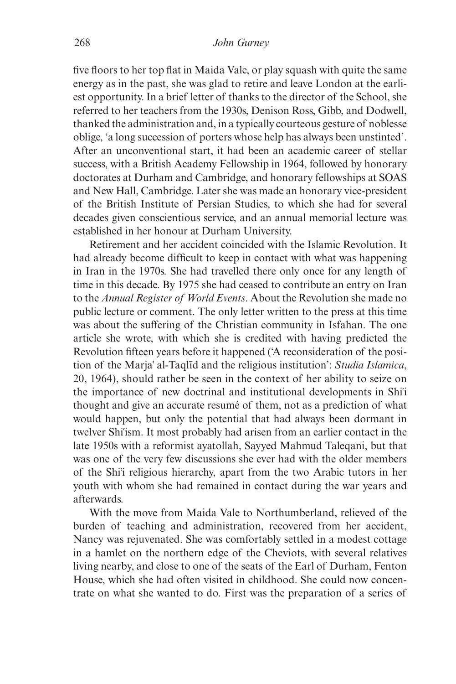five floors to her top flat in Maida Vale, or play squash with quite the same energy as in the past, she was glad to retire and leave London at the earliest opportunity. In a brief letter of thanks to the director of the School, she referred to her teachers from the 1930s, Denison Ross, Gibb, and Dodwell, thanked the administration and, in a typically courteous gesture of noblesse oblige, 'a long succession of porters whose help has always been unstinted'. After an unconventional start, it had been an academic career of stellar success, with a British Academy Fellowship in 1964, followed by honorary doctorates at Durham and Cambridge, and honorary fellowships at SOAS and New Hall, Cambridge. Later she was made an honorary vice-president of the British Institute of Persian Studies, to which she had for several decades given conscientious service, and an annual memorial lecture was established in her honour at Durham University.

Retirement and her accident coincided with the Islamic Revolution. It had already become difficult to keep in contact with what was happening in Iran in the 1970s. She had travelled there only once for any length of time in this decade. By 1975 she had ceased to contribute an entry on Iran to the *Annual Register of World Events*. About the Revolution she made no public lecture or comment. The only letter written to the press at this time was about the suffering of the Christian community in Isfahan. The one article she wrote, with which she is credited with having predicted the Revolution fifteen years before it happened ('A reconsideration of the position of the Marja' al-Taqlid and the religious institution': *Studia Islamica*, 20, 1964), should rather be seen in the context of her ability to seize on the importance of new doctrinal and institutional developments in Shi{i thought and give an accurate resumé of them, not as a prediction of what would happen, but only the potential that had always been dormant in twelver Shi{ism. It most probably had arisen from an earlier contact in the late 1950s with a reformist ayatollah, Sayyed Mahmud Taleqani, but that was one of the very few discussions she ever had with the older members of the Shi{i religious hierarchy, apart from the two Arabic tutors in her youth with whom she had remained in contact during the war years and afterwards.

With the move from Maida Vale to Northumberland, relieved of the burden of teaching and administration, recovered from her accident, Nancy was rejuvenated. She was comfortably settled in a modest cottage in a hamlet on the northern edge of the Cheviots, with several relatives living nearby, and close to one of the seats of the Earl of Durham, Fenton House, which she had often visited in childhood. She could now concentrate on what she wanted to do. First was the preparation of a series of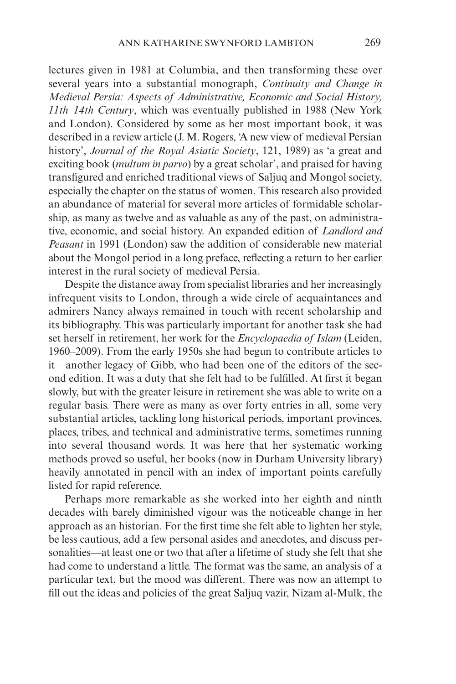lectures given in 1981 at Columbia, and then transforming these over several years into a substantial monograph, *Continuity and Change in Medieval Persia: Aspects of Administrative, Economic and Social History, 11th–14th Century*, which was eventually published in 1988 (New York and London). Considered by some as her most important book, it was described in a review article (J. M. Rogers, 'A new view of medieval Persian history', *Journal of the Royal Asiatic Society*, 121, 1989) as 'a great and exciting book (*multum in parvo*) by a great scholar', and praised for having transfigured and enriched traditional views of Saljuq and Mongol society, especially the chapter on the status of women. This research also provided an abundance of material for several more articles of formidable scholarship, as many as twelve and as valuable as any of the past, on administrative, economic, and social history. An expanded edition of *Landlord and Peasant* in 1991 (London) saw the addition of considerable new material about the Mongol period in a long preface, reflecting a return to her earlier interest in the rural society of medieval Persia.

Despite the distance away from specialist libraries and her increasingly infrequent visits to London, through a wide circle of acquaintances and admirers Nancy always remained in touch with recent scholarship and its bibliography. This was particularly important for another task she had set herself in retirement, her work for the *Encyclopaedia of Islam* (Leiden, 1960–2009). From the early 1950s she had begun to contribute articles to it—another legacy of Gibb, who had been one of the editors of the second edition. It was a duty that she felt had to be fulfilled. At first it began slowly, but with the greater leisure in retirement she was able to write on a regular basis. There were as many as over forty entries in all, some very substantial articles, tackling long historical periods, important provinces, places, tribes, and technical and administrative terms, sometimes running into several thousand words. It was here that her systematic working methods proved so useful, her books (now in Durham University library) heavily annotated in pencil with an index of important points carefully listed for rapid reference.

Perhaps more remarkable as she worked into her eighth and ninth decades with barely diminished vigour was the noticeable change in her approach as an historian. For the first time she felt able to lighten her style, be less cautious, add a few personal asides and anecdotes, and discuss personalities—at least one or two that after a lifetime of study she felt that she had come to understand a little. The format was the same, an analysis of a particular text, but the mood was different. There was now an attempt to fill out the ideas and policies of the great Saljuq vazir, Nizam al-Mulk, the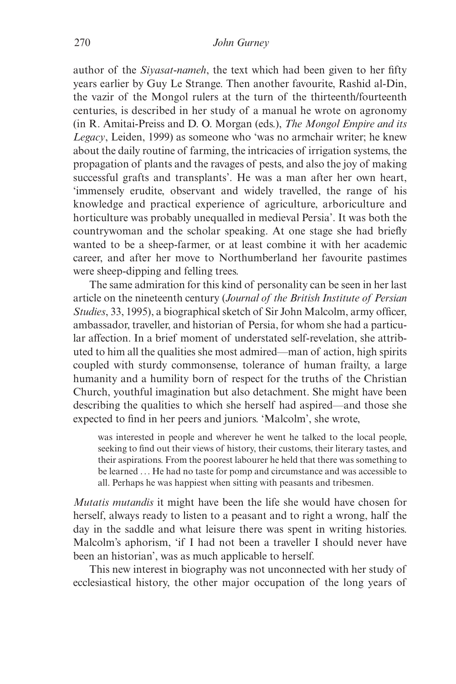author of the *Siyasat-nameh*, the text which had been given to her fifty years earlier by Guy Le Strange. Then another favourite, Rashid al-Din, the vazir of the Mongol rulers at the turn of the thirteenth/fourteenth centuries, is described in her study of a manual he wrote on agronomy (in R. Amitai-Preiss and D. O. Morgan (eds.), *The Mongol Empire and its Legacy*, Leiden, 1999) as someone who 'was no armchair writer; he knew about the daily routine of farming, the intricacies of irrigation systems, the propagation of plants and the ravages of pests, and also the joy of making successful grafts and transplants'. He was a man after her own heart, 'immensely erudite, observant and widely travelled, the range of his knowledge and practical experience of agriculture, arboriculture and horticulture was probably unequalled in medieval Persia'. It was both the countrywoman and the scholar speaking. At one stage she had briefly wanted to be a sheep-farmer, or at least combine it with her academic career, and after her move to Northumberland her favourite pastimes were sheep-dipping and felling trees.

The same admiration for this kind of personality can be seen in her last article on the nineteenth century (*Journal of the British Institute of Persian Studies*, 33, 1995), a biographical sketch of Sir John Malcolm, army officer, ambassador, traveller, and historian of Persia, for whom she had a particular affection. In a brief moment of understated self-revelation, she attributed to him all the qualities she most admired—man of action, high spirits coupled with sturdy commonsense, tolerance of human frailty, a large humanity and a humility born of respect for the truths of the Christian Church, youthful imagination but also detachment. She might have been describing the qualities to which she herself had aspired—and those she expected to find in her peers and juniors. 'Malcolm', she wrote,

was interested in people and wherever he went he talked to the local people, seeking to find out their views of history, their customs, their literary tastes, and their aspirations. From the poorest labourer he held that there was something to be learned ... He had no taste for pomp and circumstance and was accessible to all. Perhaps he was happiest when sitting with peasants and tribesmen.

*Mutatis mutandis* it might have been the life she would have chosen for herself, always ready to listen to a peasant and to right a wrong, half the day in the saddle and what leisure there was spent in writing histories. Malcolm's aphorism, 'if I had not been a traveller I should never have been an historian', was as much applicable to herself.

This new interest in biography was not unconnected with her study of ecclesiastical history, the other major occupation of the long years of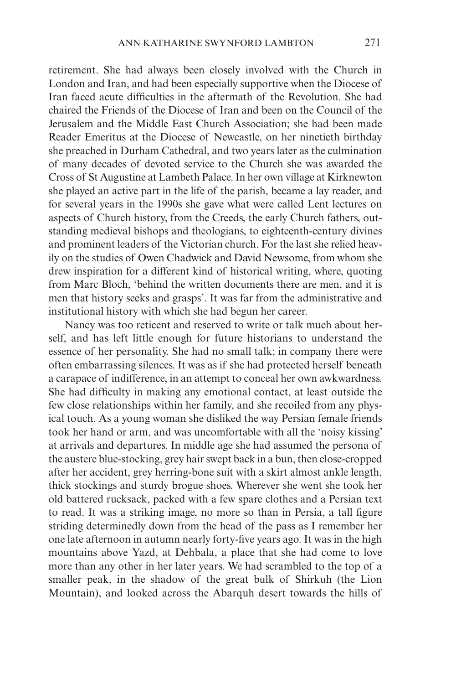retirement. She had always been closely involved with the Church in London and Iran, and had been especially supportive when the Diocese of Iran faced acute difficulties in the aftermath of the Revolution. She had chaired the Friends of the Diocese of Iran and been on the Council of the Jerusalem and the Middle East Church Association; she had been made Reader Emeritus at the Diocese of Newcastle, on her ninetieth birthday she preached in Durham Cathedral, and two years later as the culmination of many decades of devoted service to the Church she was awarded the Cross of St Augustine at Lambeth Palace. In her own village at Kirknewton she played an active part in the life of the parish, became a lay reader, and for several years in the 1990s she gave what were called Lent lectures on aspects of Church history, from the Creeds, the early Church fathers, outstanding medieval bishops and theologians, to eighteenth-century divines and prominent leaders of the Victorian church. For the last she relied heavily on the studies of Owen Chadwick and David Newsome, from whom she drew inspiration for a different kind of historical writing, where, quoting from Marc Bloch, 'behind the written documents there are men, and it is men that history seeks and grasps'. It was far from the administrative and institutional history with which she had begun her career.

Nancy was too reticent and reserved to write or talk much about herself, and has left little enough for future historians to understand the essence of her personality. She had no small talk; in company there were often embarrassing silences. It was as if she had protected herself beneath a carapace of indifference, in an attempt to conceal her own awkwardness. She had difficulty in making any emotional contact, at least outside the few close relationships within her family, and she recoiled from any physical touch. As a young woman she disliked the way Persian female friends took her hand or arm, and was uncomfortable with all the 'noisy kissing' at arrivals and departures. In middle age she had assumed the persona of the austere blue-stocking, grey hair swept back in a bun, then close-cropped after her accident, grey herring-bone suit with a skirt almost ankle length, thick stockings and sturdy brogue shoes. Wherever she went she took her old battered rucksack, packed with a few spare clothes and a Persian text to read. It was a striking image, no more so than in Persia, a tall figure striding determinedly down from the head of the pass as I remember her one late afternoon in autumn nearly forty-five years ago. It was in the high mountains above Yazd, at Dehbala, a place that she had come to love more than any other in her later years. We had scrambled to the top of a smaller peak, in the shadow of the great bulk of Shirkuh (the Lion Mountain), and looked across the Abarquh desert towards the hills of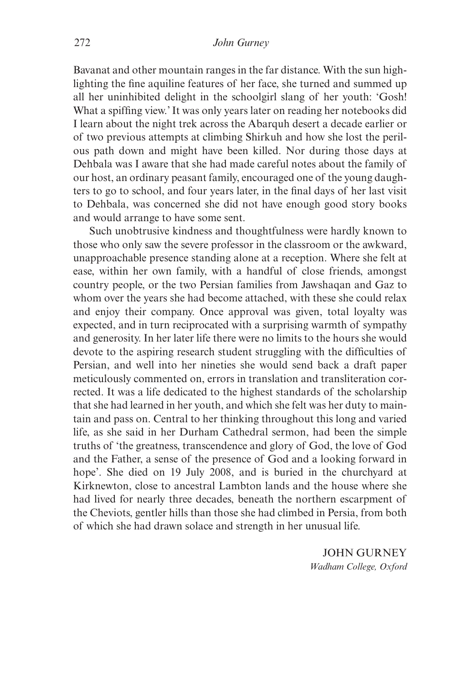Bavanat and other mountain ranges in the far distance. With the sun highlighting the fine aquiline features of her face, she turned and summed up all her uninhibited delight in the schoolgirl slang of her youth: 'Gosh! What a spiffing view.' It was only years later on reading her notebooks did I learn about the night trek across the Abarquh desert a decade earlier or of two previous attempts at climbing Shirkuh and how she lost the perilous path down and might have been killed. Nor during those days at Dehbala was I aware that she had made careful notes about the family of our host, an ordinary peasant family, encouraged one of the young daughters to go to school, and four years later, in the final days of her last visit to Dehbala, was concerned she did not have enough good story books and would arrange to have some sent.

Such unobtrusive kindness and thoughtfulness were hardly known to those who only saw the severe professor in the classroom or the awkward, unapproachable presence standing alone at a reception. Where she felt at ease, within her own family, with a handful of close friends, amongst country people, or the two Persian families from Jawshaqan and Gaz to whom over the years she had become attached, with these she could relax and enjoy their company. Once approval was given, total loyalty was expected, and in turn reciprocated with a surprising warmth of sympathy and generosity. In her later life there were no limits to the hours she would devote to the aspiring research student struggling with the difficulties of Persian, and well into her nineties she would send back a draft paper meticulously commented on, errors in translation and transliteration corrected. It was a life dedicated to the highest standards of the scholarship that she had learned in her youth, and which she felt was her duty to maintain and pass on. Central to her thinking throughout this long and varied life, as she said in her Durham Cathedral sermon, had been the simple truths of 'the greatness, transcendence and glory of God, the love of God and the Father, a sense of the presence of God and a looking forward in hope'. She died on 19 July 2008, and is buried in the churchyard at Kirknewton, close to ancestral Lambton lands and the house where she had lived for nearly three decades, beneath the northern escarpment of the Cheviots, gentler hills than those she had climbed in Persia, from both of which she had drawn solace and strength in her unusual life.

> JOHN GURNEY *Wadham College, Oxford*